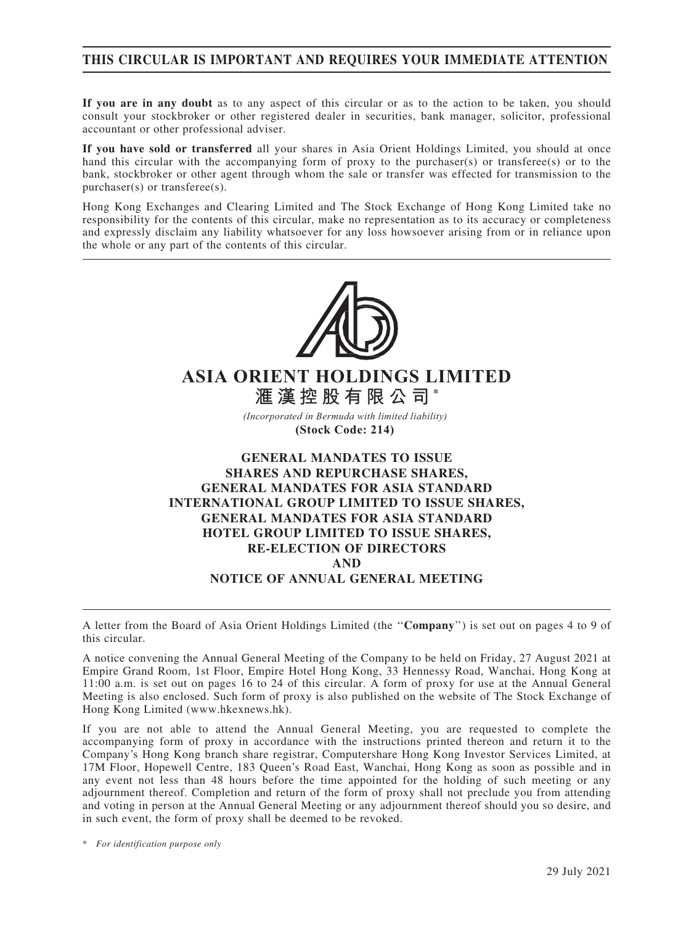### THIS CIRCULAR IS IMPORTANT AND REQUIRES YOUR IMMEDIATE ATTENTION

If you are in any doubt as to any aspect of this circular or as to the action to be taken, you should consult your stockbroker or other registered dealer in securities, bank manager, solicitor, professional accountant or other professional adviser.

If you have sold or transferred all your shares in Asia Orient Holdings Limited, you should at once hand this circular with the accompanying form of proxy to the purchaser(s) or transferee(s) or to the bank, stockbroker or other agent through whom the sale or transfer was effected for transmission to the purchaser(s) or transferee(s).

Hong Kong Exchanges and Clearing Limited and The Stock Exchange of Hong Kong Limited take no responsibility for the contents of this circular, make no representation as to its accuracy or completeness and expressly disclaim any liability whatsoever for any loss howsoever arising from or in reliance upon the whole or any part of the contents of this circular.



# **ASIA ORIENT HOLDINGS LIMITED 滙漢控股有限公司 \***

*(Incorporated in Bermuda with limited liability)* 

**(Stock Code: 214)** 

### GENERAL MANDATES TO ISSUE SHARES AND REPURCHASE SHARES, GENERAL MANDATES FOR ASIA STANDARD INTERNATIONAL GROUP LIMITED TO ISSUE SHARES, GENERAL MANDATES FOR ASIA STANDARD HOTEL GROUP LIMITED TO ISSUE SHARES, RE-ELECTION OF DIRECTORS AND NOTICE OF ANNUAL GENERAL MEETING

A letter from the Board of Asia Orient Holdings Limited (the ''Company'') is set out on pages 4 to 9 of this circular.

A notice convening the Annual General Meeting of the Company to be held on Friday, 27 August 2021 at Empire Grand Room, 1st Floor, Empire Hotel Hong Kong, 33 Hennessy Road, Wanchai, Hong Kong at 11:00 a.m. is set out on pages 16 to 24 of this circular. A form of proxy for use at the Annual General Meeting is also enclosed. Such form of proxy is also published on the website of The Stock Exchange of Hong Kong Limited (www.hkexnews.hk).

If you are not able to attend the Annual General Meeting, you are requested to complete the accompanying form of proxy in accordance with the instructions printed thereon and return it to the Company's Hong Kong branch share registrar, Computershare Hong Kong Investor Services Limited, at 17M Floor, Hopewell Centre, 183 Queen's Road East, Wanchai, Hong Kong as soon as possible and in any event not less than 48 hours before the time appointed for the holding of such meeting or any adjournment thereof. Completion and return of the form of proxy shall not preclude you from attending and voting in person at the Annual General Meeting or any adjournment thereof should you so desire, and in such event, the form of proxy shall be deemed to be revoked.

\* For identification purpose only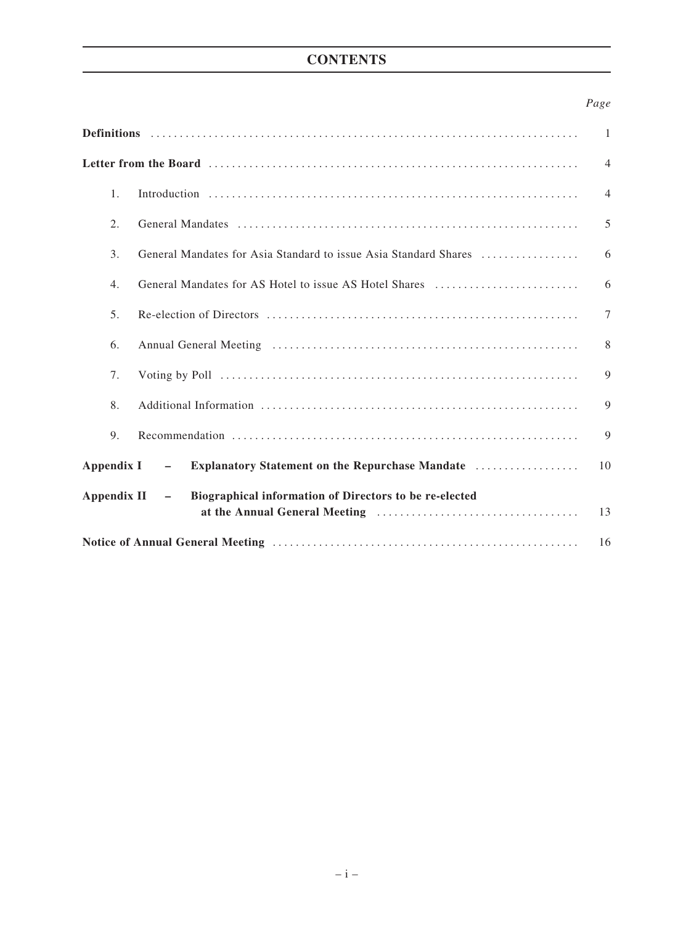# **CONTENTS**

### Page

|                                                                                                   | $\mathbf{1}$   |
|---------------------------------------------------------------------------------------------------|----------------|
|                                                                                                   | $\overline{4}$ |
| 1 <sub>1</sub>                                                                                    | $\overline{4}$ |
| 2.                                                                                                | 5              |
| 3.<br>General Mandates for Asia Standard to issue Asia Standard Shares                            | 6              |
| General Mandates for AS Hotel to issue AS Hotel Shares<br>4.                                      | 6              |
| 5 <sub>1</sub>                                                                                    | $\overline{7}$ |
| 6.                                                                                                | 8              |
| 7.                                                                                                | 9              |
| 8.                                                                                                | 9              |
| 9.                                                                                                | 9              |
| Appendix I<br><b>Explanatory Statement on the Repurchase Mandate </b><br>$\overline{\phantom{m}}$ | 10             |
| Biographical information of Directors to be re-elected<br>Appendix II<br>$\sim$ $-$               | 13             |
|                                                                                                   | 16             |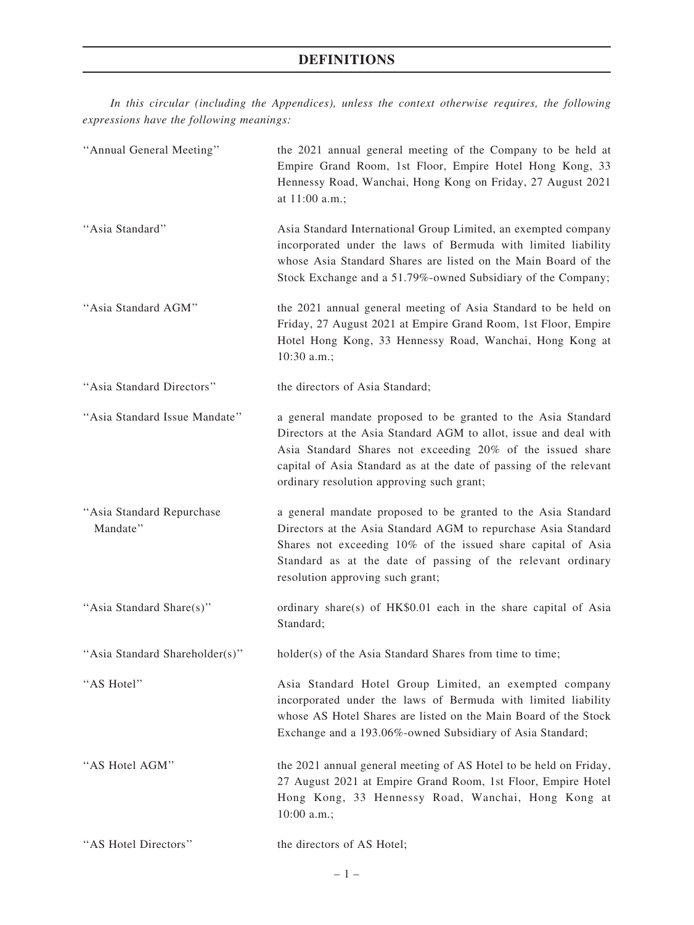# DEFINITIONS

In this circular (including the Appendices), unless the context otherwise requires, the following expressions have the following meanings:

| "Annual General Meeting"              | the 2021 annual general meeting of the Company to be held at<br>Empire Grand Room, 1st Floor, Empire Hotel Hong Kong, 33<br>Hennessy Road, Wanchai, Hong Kong on Friday, 27 August 2021<br>at 11:00 a.m.;                                                                                                          |
|---------------------------------------|--------------------------------------------------------------------------------------------------------------------------------------------------------------------------------------------------------------------------------------------------------------------------------------------------------------------|
| "Asia Standard"                       | Asia Standard International Group Limited, an exempted company<br>incorporated under the laws of Bermuda with limited liability<br>whose Asia Standard Shares are listed on the Main Board of the<br>Stock Exchange and a 51.79%-owned Subsidiary of the Company;                                                  |
| "Asia Standard AGM"                   | the 2021 annual general meeting of Asia Standard to be held on<br>Friday, 27 August 2021 at Empire Grand Room, 1st Floor, Empire<br>Hotel Hong Kong, 33 Hennessy Road, Wanchai, Hong Kong at<br>10:30 a.m.;                                                                                                        |
| "Asia Standard Directors"             | the directors of Asia Standard;                                                                                                                                                                                                                                                                                    |
| "Asia Standard Issue Mandate"         | a general mandate proposed to be granted to the Asia Standard<br>Directors at the Asia Standard AGM to allot, issue and deal with<br>Asia Standard Shares not exceeding 20% of the issued share<br>capital of Asia Standard as at the date of passing of the relevant<br>ordinary resolution approving such grant; |
| "Asia Standard Repurchase<br>Mandate" | a general mandate proposed to be granted to the Asia Standard<br>Directors at the Asia Standard AGM to repurchase Asia Standard<br>Shares not exceeding 10% of the issued share capital of Asia<br>Standard as at the date of passing of the relevant ordinary<br>resolution approving such grant;                 |
| "Asia Standard Share(s)"              | ordinary share(s) of HK\$0.01 each in the share capital of Asia<br>Standard;                                                                                                                                                                                                                                       |
| "Asia Standard Shareholder(s)"        | holder(s) of the Asia Standard Shares from time to time;                                                                                                                                                                                                                                                           |
| "AS Hotel"                            | Asia Standard Hotel Group Limited, an exempted company<br>incorporated under the laws of Bermuda with limited liability<br>whose AS Hotel Shares are listed on the Main Board of the Stock<br>Exchange and a 193.06%-owned Subsidiary of Asia Standard;                                                            |
| "AS Hotel AGM"                        | the 2021 annual general meeting of AS Hotel to be held on Friday,<br>27 August 2021 at Empire Grand Room, 1st Floor, Empire Hotel<br>Hong Kong, 33 Hennessy Road, Wanchai, Hong Kong at<br>10:00 a.m.;                                                                                                             |
| "AS Hotel Directors"                  | the directors of AS Hotel;                                                                                                                                                                                                                                                                                         |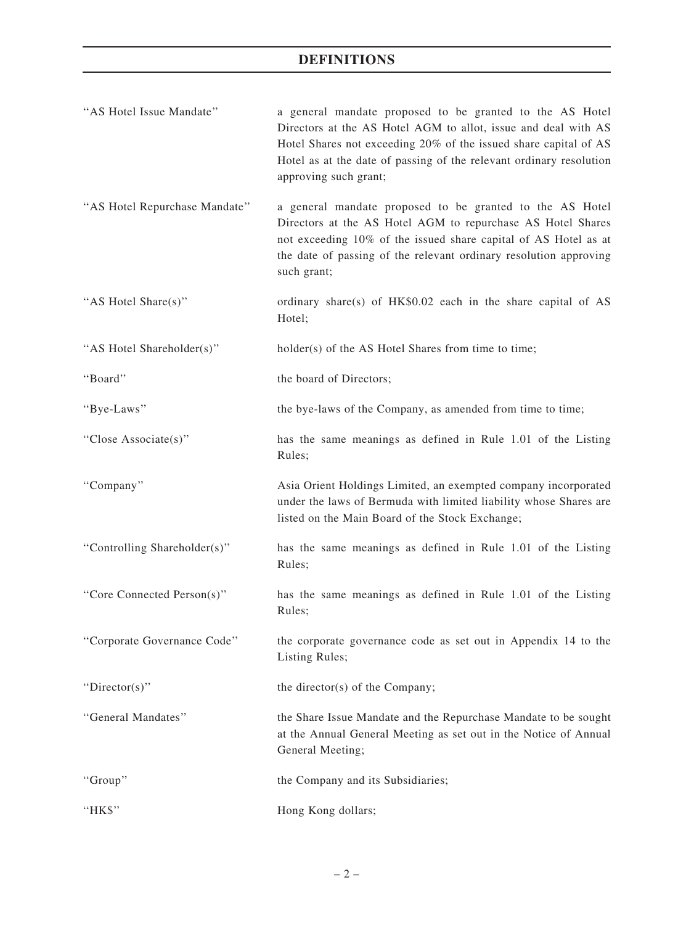# DEFINITIONS

| "AS Hotel Issue Mandate"      | a general mandate proposed to be granted to the AS Hotel<br>Directors at the AS Hotel AGM to allot, issue and deal with AS<br>Hotel Shares not exceeding 20% of the issued share capital of AS<br>Hotel as at the date of passing of the relevant ordinary resolution<br>approving such grant; |
|-------------------------------|------------------------------------------------------------------------------------------------------------------------------------------------------------------------------------------------------------------------------------------------------------------------------------------------|
| "AS Hotel Repurchase Mandate" | a general mandate proposed to be granted to the AS Hotel<br>Directors at the AS Hotel AGM to repurchase AS Hotel Shares<br>not exceeding 10% of the issued share capital of AS Hotel as at<br>the date of passing of the relevant ordinary resolution approving<br>such grant;                 |
| "AS Hotel Share(s)"           | ordinary share(s) of HK\$0.02 each in the share capital of AS<br>Hotel;                                                                                                                                                                                                                        |
| "AS Hotel Shareholder(s)"     | holder(s) of the AS Hotel Shares from time to time;                                                                                                                                                                                                                                            |
| "Board"                       | the board of Directors;                                                                                                                                                                                                                                                                        |
| "Bye-Laws"                    | the bye-laws of the Company, as amended from time to time;                                                                                                                                                                                                                                     |
| "Close Associate(s)"          | has the same meanings as defined in Rule 1.01 of the Listing<br>Rules;                                                                                                                                                                                                                         |
| "Company"                     | Asia Orient Holdings Limited, an exempted company incorporated<br>under the laws of Bermuda with limited liability whose Shares are<br>listed on the Main Board of the Stock Exchange;                                                                                                         |
| "Controlling Shareholder(s)"  | has the same meanings as defined in Rule 1.01 of the Listing<br>Rules;                                                                                                                                                                                                                         |
| "Core Connected Person(s)"    | has the same meanings as defined in Rule 1.01 of the Listing<br>Rules;                                                                                                                                                                                                                         |
| "Corporate Governance Code"   | the corporate governance code as set out in Appendix 14 to the<br>Listing Rules;                                                                                                                                                                                                               |
| "Director(s)"                 | the director(s) of the Company;                                                                                                                                                                                                                                                                |
| "General Mandates"            | the Share Issue Mandate and the Repurchase Mandate to be sought<br>at the Annual General Meeting as set out in the Notice of Annual<br>General Meeting;                                                                                                                                        |
| "Group"                       | the Company and its Subsidiaries;                                                                                                                                                                                                                                                              |
| "HK\$"                        | Hong Kong dollars;                                                                                                                                                                                                                                                                             |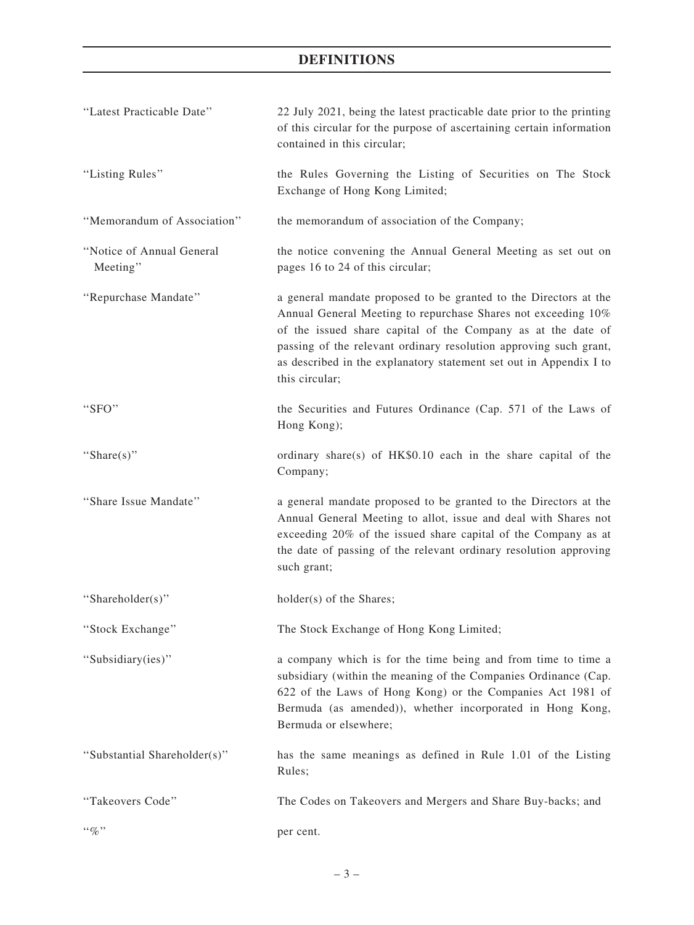# DEFINITIONS

| "Latest Practicable Date"             | 22 July 2021, being the latest practicable date prior to the printing<br>of this circular for the purpose of ascertaining certain information<br>contained in this circular;                                                                                                                                                                                   |
|---------------------------------------|----------------------------------------------------------------------------------------------------------------------------------------------------------------------------------------------------------------------------------------------------------------------------------------------------------------------------------------------------------------|
| "Listing Rules"                       | the Rules Governing the Listing of Securities on The Stock<br>Exchange of Hong Kong Limited;                                                                                                                                                                                                                                                                   |
| "Memorandum of Association"           | the memorandum of association of the Company;                                                                                                                                                                                                                                                                                                                  |
| "Notice of Annual General<br>Meeting" | the notice convening the Annual General Meeting as set out on<br>pages 16 to 24 of this circular;                                                                                                                                                                                                                                                              |
| "Repurchase Mandate"                  | a general mandate proposed to be granted to the Directors at the<br>Annual General Meeting to repurchase Shares not exceeding 10%<br>of the issued share capital of the Company as at the date of<br>passing of the relevant ordinary resolution approving such grant,<br>as described in the explanatory statement set out in Appendix I to<br>this circular; |
| "SFO"                                 | the Securities and Futures Ordinance (Cap. 571 of the Laws of<br>Hong Kong);                                                                                                                                                                                                                                                                                   |
| "Share $(s)$ "                        | ordinary share(s) of HK\$0.10 each in the share capital of the<br>Company;                                                                                                                                                                                                                                                                                     |
| "Share Issue Mandate"                 | a general mandate proposed to be granted to the Directors at the<br>Annual General Meeting to allot, issue and deal with Shares not<br>exceeding 20% of the issued share capital of the Company as at<br>the date of passing of the relevant ordinary resolution approving<br>such grant;                                                                      |
| "Shareholder(s)"                      | holder(s) of the Shares;                                                                                                                                                                                                                                                                                                                                       |
| 'Stock Exchange''                     | The Stock Exchange of Hong Kong Limited;                                                                                                                                                                                                                                                                                                                       |
| "Subsidiary(ies)"                     | a company which is for the time being and from time to time a<br>subsidiary (within the meaning of the Companies Ordinance (Cap.<br>622 of the Laws of Hong Kong) or the Companies Act 1981 of<br>Bermuda (as amended)), whether incorporated in Hong Kong,<br>Bermuda or elsewhere;                                                                           |
| "Substantial Shareholder(s)"          | has the same meanings as defined in Rule 1.01 of the Listing<br>Rules;                                                                                                                                                                                                                                                                                         |
| "Takeovers Code"                      | The Codes on Takeovers and Mergers and Share Buy-backs; and                                                                                                                                                                                                                                                                                                    |
| $``\%"$                               | per cent.                                                                                                                                                                                                                                                                                                                                                      |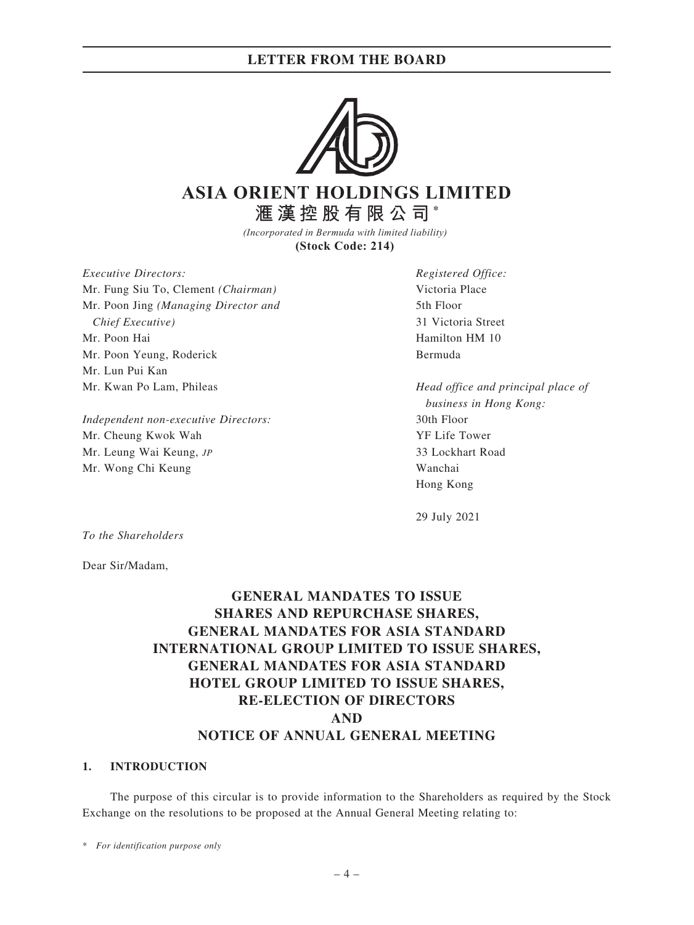### LETTER FROM THE BOARD



# **ASIA ORIENT HOLDINGS LIMITED 滙漢控股有限公司 \***

*(Incorporated in Bermuda with limited liability)*  **(Stock Code: 214)** 

Executive Directors: Mr. Fung Siu To, Clement (Chairman) Mr. Poon Jing (Managing Director and Chief Executive) Mr. Poon Hai Mr. Poon Yeung, Roderick Mr. Lun Pui Kan Mr. Kwan Po Lam, Phileas

Independent non-executive Directors: Mr. Cheung Kwok Wah Mr. Leung Wai Keung, JP Mr. Wong Chi Keung

Registered Office: Victoria Place 5th Floor 31 Victoria Street Hamilton HM 10 Bermuda

Head office and principal place of business in Hong Kong: 30th Floor YF Life Tower 33 Lockhart Road Wanchai Hong Kong

29 July 2021

To the Shareholders

Dear Sir/Madam,

# GENERAL MANDATES TO ISSUE SHARES AND REPURCHASE SHARES, GENERAL MANDATES FOR ASIA STANDARD INTERNATIONAL GROUP LIMITED TO ISSUE SHARES, GENERAL MANDATES FOR ASIA STANDARD HOTEL GROUP LIMITED TO ISSUE SHARES, RE-ELECTION OF DIRECTORS AND NOTICE OF ANNUAL GENERAL MEETING

#### 1. INTRODUCTION

The purpose of this circular is to provide information to the Shareholders as required by the Stock Exchange on the resolutions to be proposed at the Annual General Meeting relating to:

\* For identification purpose only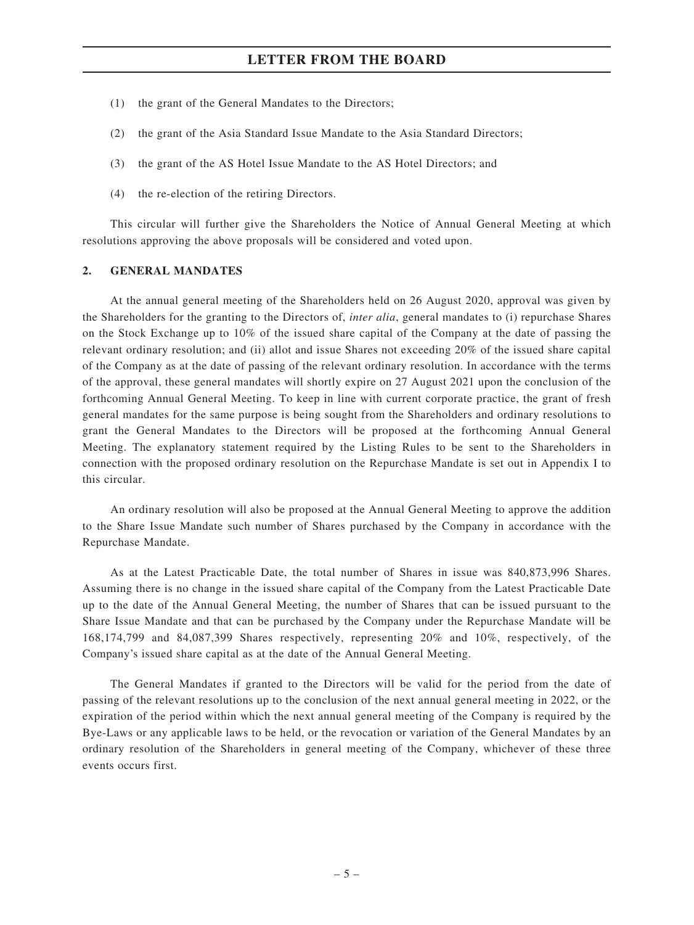### LETTER FROM THE BOARD

- (1) the grant of the General Mandates to the Directors;
- (2) the grant of the Asia Standard Issue Mandate to the Asia Standard Directors;
- (3) the grant of the AS Hotel Issue Mandate to the AS Hotel Directors; and
- (4) the re-election of the retiring Directors.

This circular will further give the Shareholders the Notice of Annual General Meeting at which resolutions approving the above proposals will be considered and voted upon.

#### 2. GENERAL MANDATES

At the annual general meeting of the Shareholders held on 26 August 2020, approval was given by the Shareholders for the granting to the Directors of, inter alia, general mandates to (i) repurchase Shares on the Stock Exchange up to 10% of the issued share capital of the Company at the date of passing the relevant ordinary resolution; and (ii) allot and issue Shares not exceeding 20% of the issued share capital of the Company as at the date of passing of the relevant ordinary resolution. In accordance with the terms of the approval, these general mandates will shortly expire on 27 August 2021 upon the conclusion of the forthcoming Annual General Meeting. To keep in line with current corporate practice, the grant of fresh general mandates for the same purpose is being sought from the Shareholders and ordinary resolutions to grant the General Mandates to the Directors will be proposed at the forthcoming Annual General Meeting. The explanatory statement required by the Listing Rules to be sent to the Shareholders in connection with the proposed ordinary resolution on the Repurchase Mandate is set out in Appendix I to this circular.

An ordinary resolution will also be proposed at the Annual General Meeting to approve the addition to the Share Issue Mandate such number of Shares purchased by the Company in accordance with the Repurchase Mandate.

As at the Latest Practicable Date, the total number of Shares in issue was 840,873,996 Shares. Assuming there is no change in the issued share capital of the Company from the Latest Practicable Date up to the date of the Annual General Meeting, the number of Shares that can be issued pursuant to the Share Issue Mandate and that can be purchased by the Company under the Repurchase Mandate will be 168,174,799 and 84,087,399 Shares respectively, representing 20% and 10%, respectively, of the Company's issued share capital as at the date of the Annual General Meeting.

The General Mandates if granted to the Directors will be valid for the period from the date of passing of the relevant resolutions up to the conclusion of the next annual general meeting in 2022, or the expiration of the period within which the next annual general meeting of the Company is required by the Bye-Laws or any applicable laws to be held, or the revocation or variation of the General Mandates by an ordinary resolution of the Shareholders in general meeting of the Company, whichever of these three events occurs first.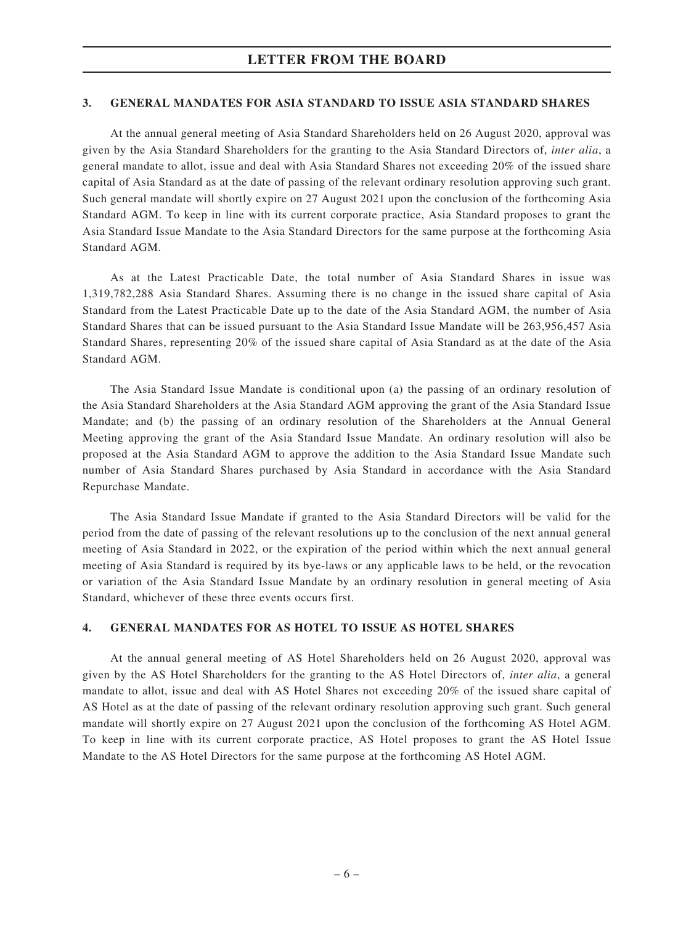### 3. GENERAL MANDATES FOR ASIA STANDARD TO ISSUE ASIA STANDARD SHARES

At the annual general meeting of Asia Standard Shareholders held on 26 August 2020, approval was given by the Asia Standard Shareholders for the granting to the Asia Standard Directors of, inter alia, a general mandate to allot, issue and deal with Asia Standard Shares not exceeding 20% of the issued share capital of Asia Standard as at the date of passing of the relevant ordinary resolution approving such grant. Such general mandate will shortly expire on 27 August 2021 upon the conclusion of the forthcoming Asia Standard AGM. To keep in line with its current corporate practice, Asia Standard proposes to grant the Asia Standard Issue Mandate to the Asia Standard Directors for the same purpose at the forthcoming Asia Standard AGM.

As at the Latest Practicable Date, the total number of Asia Standard Shares in issue was 1,319,782,288 Asia Standard Shares. Assuming there is no change in the issued share capital of Asia Standard from the Latest Practicable Date up to the date of the Asia Standard AGM, the number of Asia Standard Shares that can be issued pursuant to the Asia Standard Issue Mandate will be 263,956,457 Asia Standard Shares, representing 20% of the issued share capital of Asia Standard as at the date of the Asia Standard AGM.

The Asia Standard Issue Mandate is conditional upon (a) the passing of an ordinary resolution of the Asia Standard Shareholders at the Asia Standard AGM approving the grant of the Asia Standard Issue Mandate; and (b) the passing of an ordinary resolution of the Shareholders at the Annual General Meeting approving the grant of the Asia Standard Issue Mandate. An ordinary resolution will also be proposed at the Asia Standard AGM to approve the addition to the Asia Standard Issue Mandate such number of Asia Standard Shares purchased by Asia Standard in accordance with the Asia Standard Repurchase Mandate.

The Asia Standard Issue Mandate if granted to the Asia Standard Directors will be valid for the period from the date of passing of the relevant resolutions up to the conclusion of the next annual general meeting of Asia Standard in 2022, or the expiration of the period within which the next annual general meeting of Asia Standard is required by its bye-laws or any applicable laws to be held, or the revocation or variation of the Asia Standard Issue Mandate by an ordinary resolution in general meeting of Asia Standard, whichever of these three events occurs first.

### 4. GENERAL MANDATES FOR AS HOTEL TO ISSUE AS HOTEL SHARES

At the annual general meeting of AS Hotel Shareholders held on 26 August 2020, approval was given by the AS Hotel Shareholders for the granting to the AS Hotel Directors of, inter alia, a general mandate to allot, issue and deal with AS Hotel Shares not exceeding 20% of the issued share capital of AS Hotel as at the date of passing of the relevant ordinary resolution approving such grant. Such general mandate will shortly expire on 27 August 2021 upon the conclusion of the forthcoming AS Hotel AGM. To keep in line with its current corporate practice, AS Hotel proposes to grant the AS Hotel Issue Mandate to the AS Hotel Directors for the same purpose at the forthcoming AS Hotel AGM.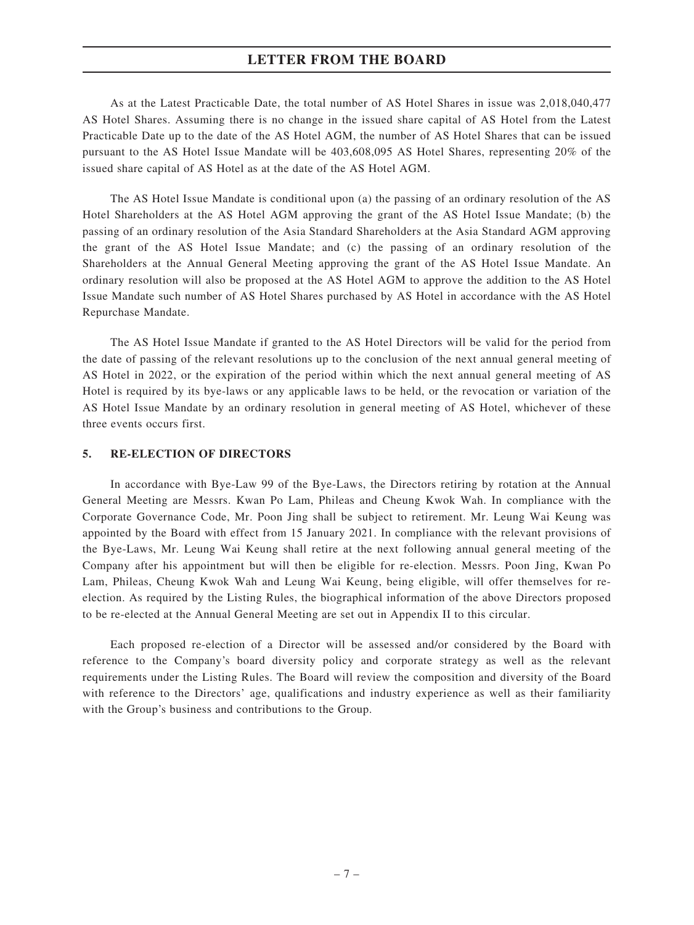### LETTER FROM THE BOARD

As at the Latest Practicable Date, the total number of AS Hotel Shares in issue was 2,018,040,477 AS Hotel Shares. Assuming there is no change in the issued share capital of AS Hotel from the Latest Practicable Date up to the date of the AS Hotel AGM, the number of AS Hotel Shares that can be issued pursuant to the AS Hotel Issue Mandate will be 403,608,095 AS Hotel Shares, representing 20% of the issued share capital of AS Hotel as at the date of the AS Hotel AGM.

The AS Hotel Issue Mandate is conditional upon (a) the passing of an ordinary resolution of the AS Hotel Shareholders at the AS Hotel AGM approving the grant of the AS Hotel Issue Mandate; (b) the passing of an ordinary resolution of the Asia Standard Shareholders at the Asia Standard AGM approving the grant of the AS Hotel Issue Mandate; and (c) the passing of an ordinary resolution of the Shareholders at the Annual General Meeting approving the grant of the AS Hotel Issue Mandate. An ordinary resolution will also be proposed at the AS Hotel AGM to approve the addition to the AS Hotel Issue Mandate such number of AS Hotel Shares purchased by AS Hotel in accordance with the AS Hotel Repurchase Mandate.

The AS Hotel Issue Mandate if granted to the AS Hotel Directors will be valid for the period from the date of passing of the relevant resolutions up to the conclusion of the next annual general meeting of AS Hotel in 2022, or the expiration of the period within which the next annual general meeting of AS Hotel is required by its bye-laws or any applicable laws to be held, or the revocation or variation of the AS Hotel Issue Mandate by an ordinary resolution in general meeting of AS Hotel, whichever of these three events occurs first.

#### 5. RE-ELECTION OF DIRECTORS

In accordance with Bye-Law 99 of the Bye-Laws, the Directors retiring by rotation at the Annual General Meeting are Messrs. Kwan Po Lam, Phileas and Cheung Kwok Wah. In compliance with the Corporate Governance Code, Mr. Poon Jing shall be subject to retirement. Mr. Leung Wai Keung was appointed by the Board with effect from 15 January 2021. In compliance with the relevant provisions of the Bye-Laws, Mr. Leung Wai Keung shall retire at the next following annual general meeting of the Company after his appointment but will then be eligible for re-election. Messrs. Poon Jing, Kwan Po Lam, Phileas, Cheung Kwok Wah and Leung Wai Keung, being eligible, will offer themselves for reelection. As required by the Listing Rules, the biographical information of the above Directors proposed to be re-elected at the Annual General Meeting are set out in Appendix II to this circular.

Each proposed re-election of a Director will be assessed and/or considered by the Board with reference to the Company's board diversity policy and corporate strategy as well as the relevant requirements under the Listing Rules. The Board will review the composition and diversity of the Board with reference to the Directors' age, qualifications and industry experience as well as their familiarity with the Group's business and contributions to the Group.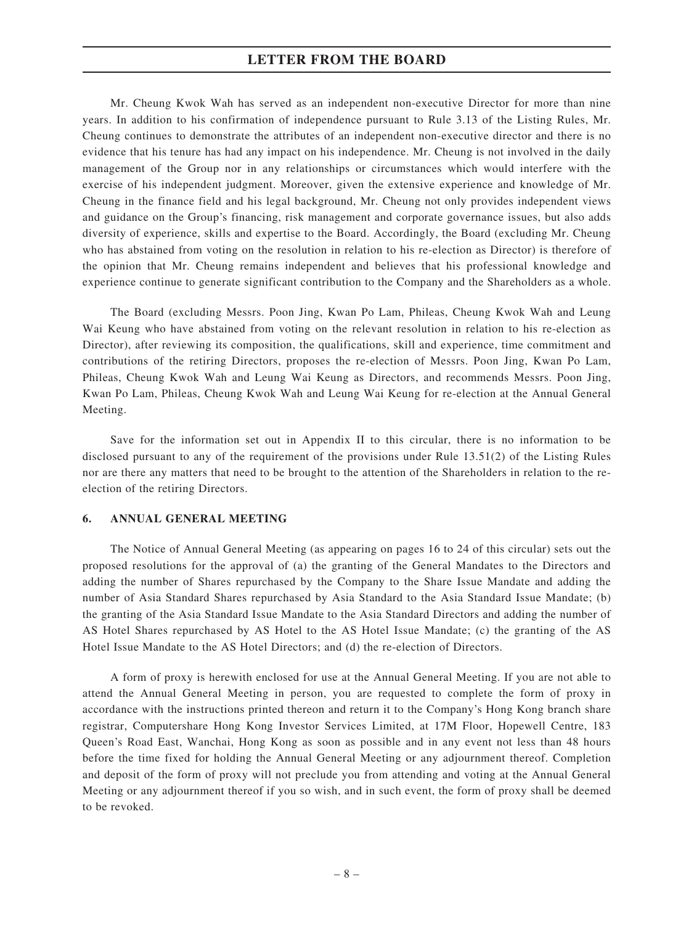Mr. Cheung Kwok Wah has served as an independent non-executive Director for more than nine years. In addition to his confirmation of independence pursuant to Rule 3.13 of the Listing Rules, Mr. Cheung continues to demonstrate the attributes of an independent non-executive director and there is no evidence that his tenure has had any impact on his independence. Mr. Cheung is not involved in the daily management of the Group nor in any relationships or circumstances which would interfere with the exercise of his independent judgment. Moreover, given the extensive experience and knowledge of Mr. Cheung in the finance field and his legal background, Mr. Cheung not only provides independent views and guidance on the Group's financing, risk management and corporate governance issues, but also adds diversity of experience, skills and expertise to the Board. Accordingly, the Board (excluding Mr. Cheung who has abstained from voting on the resolution in relation to his re-election as Director) is therefore of the opinion that Mr. Cheung remains independent and believes that his professional knowledge and experience continue to generate significant contribution to the Company and the Shareholders as a whole.

The Board (excluding Messrs. Poon Jing, Kwan Po Lam, Phileas, Cheung Kwok Wah and Leung Wai Keung who have abstained from voting on the relevant resolution in relation to his re-election as Director), after reviewing its composition, the qualifications, skill and experience, time commitment and contributions of the retiring Directors, proposes the re-election of Messrs. Poon Jing, Kwan Po Lam, Phileas, Cheung Kwok Wah and Leung Wai Keung as Directors, and recommends Messrs. Poon Jing, Kwan Po Lam, Phileas, Cheung Kwok Wah and Leung Wai Keung for re-election at the Annual General Meeting.

Save for the information set out in Appendix II to this circular, there is no information to be disclosed pursuant to any of the requirement of the provisions under Rule 13.51(2) of the Listing Rules nor are there any matters that need to be brought to the attention of the Shareholders in relation to the reelection of the retiring Directors.

### 6. ANNUAL GENERAL MEETING

The Notice of Annual General Meeting (as appearing on pages 16 to 24 of this circular) sets out the proposed resolutions for the approval of (a) the granting of the General Mandates to the Directors and adding the number of Shares repurchased by the Company to the Share Issue Mandate and adding the number of Asia Standard Shares repurchased by Asia Standard to the Asia Standard Issue Mandate; (b) the granting of the Asia Standard Issue Mandate to the Asia Standard Directors and adding the number of AS Hotel Shares repurchased by AS Hotel to the AS Hotel Issue Mandate; (c) the granting of the AS Hotel Issue Mandate to the AS Hotel Directors; and (d) the re-election of Directors.

A form of proxy is herewith enclosed for use at the Annual General Meeting. If you are not able to attend the Annual General Meeting in person, you are requested to complete the form of proxy in accordance with the instructions printed thereon and return it to the Company's Hong Kong branch share registrar, Computershare Hong Kong Investor Services Limited, at 17M Floor, Hopewell Centre, 183 Queen's Road East, Wanchai, Hong Kong as soon as possible and in any event not less than 48 hours before the time fixed for holding the Annual General Meeting or any adjournment thereof. Completion and deposit of the form of proxy will not preclude you from attending and voting at the Annual General Meeting or any adjournment thereof if you so wish, and in such event, the form of proxy shall be deemed to be revoked.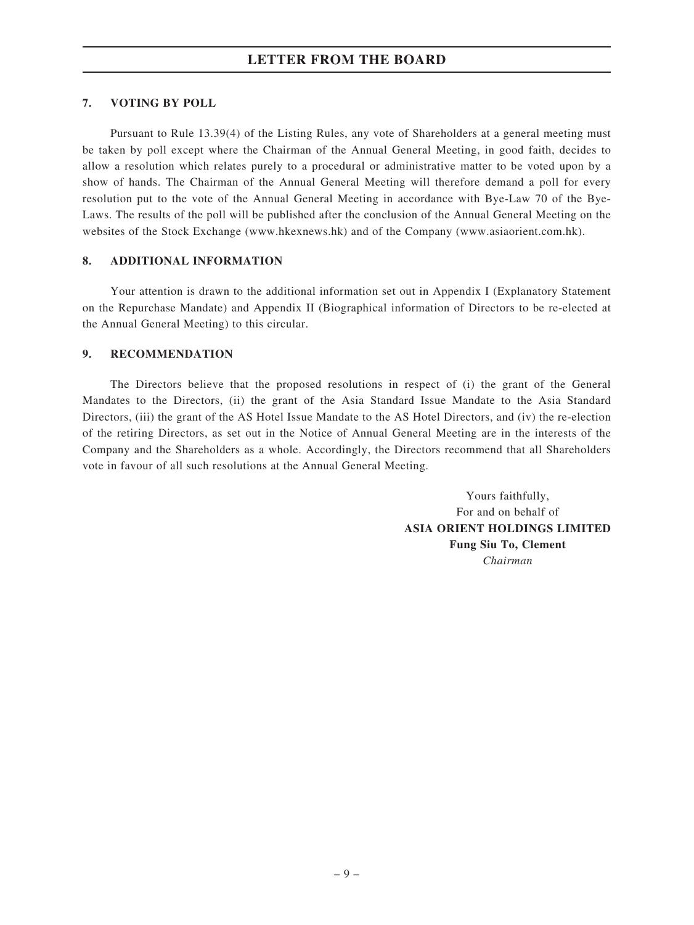### 7. VOTING BY POLL

Pursuant to Rule 13.39(4) of the Listing Rules, any vote of Shareholders at a general meeting must be taken by poll except where the Chairman of the Annual General Meeting, in good faith, decides to allow a resolution which relates purely to a procedural or administrative matter to be voted upon by a show of hands. The Chairman of the Annual General Meeting will therefore demand a poll for every resolution put to the vote of the Annual General Meeting in accordance with Bye-Law 70 of the Bye-Laws. The results of the poll will be published after the conclusion of the Annual General Meeting on the websites of the Stock Exchange (www.hkexnews.hk) and of the Company (www.asiaorient.com.hk).

### 8. ADDITIONAL INFORMATION

Your attention is drawn to the additional information set out in Appendix I (Explanatory Statement on the Repurchase Mandate) and Appendix II (Biographical information of Directors to be re-elected at the Annual General Meeting) to this circular.

### 9. RECOMMENDATION

The Directors believe that the proposed resolutions in respect of (i) the grant of the General Mandates to the Directors, (ii) the grant of the Asia Standard Issue Mandate to the Asia Standard Directors, (iii) the grant of the AS Hotel Issue Mandate to the AS Hotel Directors, and (iv) the re-election of the retiring Directors, as set out in the Notice of Annual General Meeting are in the interests of the Company and the Shareholders as a whole. Accordingly, the Directors recommend that all Shareholders vote in favour of all such resolutions at the Annual General Meeting.

> Yours faithfully, For and on behalf of ASIA ORIENT HOLDINGS LIMITED Fung Siu To, Clement Chairman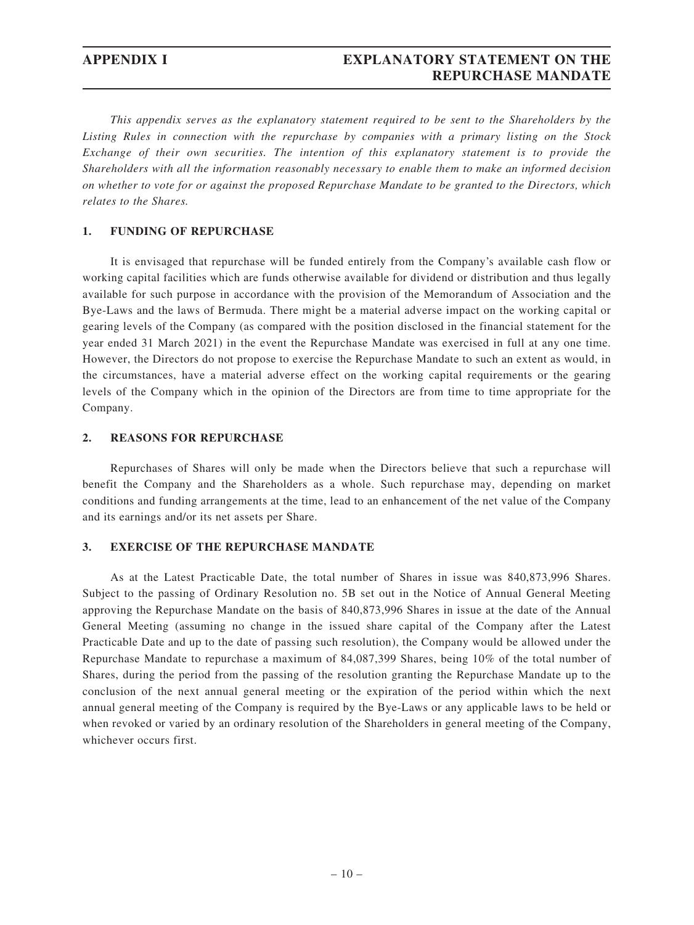# APPENDIX I EXPLANATORY STATEMENT ON THE REPURCHASE MANDATE

This appendix serves as the explanatory statement required to be sent to the Shareholders by the Listing Rules in connection with the repurchase by companies with a primary listing on the Stock Exchange of their own securities. The intention of this explanatory statement is to provide the Shareholders with all the information reasonably necessary to enable them to make an informed decision on whether to vote for or against the proposed Repurchase Mandate to be granted to the Directors, which relates to the Shares.

### 1. FUNDING OF REPURCHASE

It is envisaged that repurchase will be funded entirely from the Company's available cash flow or working capital facilities which are funds otherwise available for dividend or distribution and thus legally available for such purpose in accordance with the provision of the Memorandum of Association and the Bye-Laws and the laws of Bermuda. There might be a material adverse impact on the working capital or gearing levels of the Company (as compared with the position disclosed in the financial statement for the year ended 31 March 2021) in the event the Repurchase Mandate was exercised in full at any one time. However, the Directors do not propose to exercise the Repurchase Mandate to such an extent as would, in the circumstances, have a material adverse effect on the working capital requirements or the gearing levels of the Company which in the opinion of the Directors are from time to time appropriate for the Company.

### 2. REASONS FOR REPURCHASE

Repurchases of Shares will only be made when the Directors believe that such a repurchase will benefit the Company and the Shareholders as a whole. Such repurchase may, depending on market conditions and funding arrangements at the time, lead to an enhancement of the net value of the Company and its earnings and/or its net assets per Share.

### 3. EXERCISE OF THE REPURCHASE MANDATE

As at the Latest Practicable Date, the total number of Shares in issue was 840,873,996 Shares. Subject to the passing of Ordinary Resolution no. 5B set out in the Notice of Annual General Meeting approving the Repurchase Mandate on the basis of 840,873,996 Shares in issue at the date of the Annual General Meeting (assuming no change in the issued share capital of the Company after the Latest Practicable Date and up to the date of passing such resolution), the Company would be allowed under the Repurchase Mandate to repurchase a maximum of 84,087,399 Shares, being 10% of the total number of Shares, during the period from the passing of the resolution granting the Repurchase Mandate up to the conclusion of the next annual general meeting or the expiration of the period within which the next annual general meeting of the Company is required by the Bye-Laws or any applicable laws to be held or when revoked or varied by an ordinary resolution of the Shareholders in general meeting of the Company, whichever occurs first.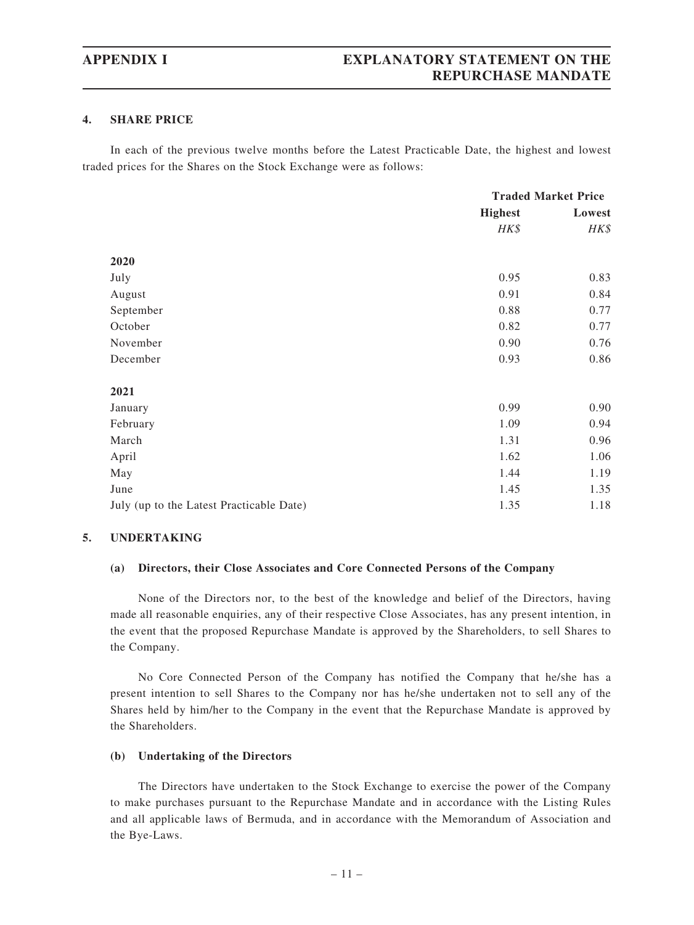#### 4. SHARE PRICE

In each of the previous twelve months before the Latest Practicable Date, the highest and lowest traded prices for the Shares on the Stock Exchange were as follows:

|                                          | <b>Traded Market Price</b> |        |
|------------------------------------------|----------------------------|--------|
|                                          | <b>Highest</b>             | Lowest |
|                                          | HK\$                       | HK\$   |
| 2020                                     |                            |        |
| July                                     | 0.95                       | 0.83   |
| August                                   | 0.91                       | 0.84   |
| September                                | 0.88                       | 0.77   |
| October                                  | 0.82                       | 0.77   |
| November                                 | 0.90                       | 0.76   |
| December                                 | 0.93                       | 0.86   |
| 2021                                     |                            |        |
| January                                  | 0.99                       | 0.90   |
| February                                 | 1.09                       | 0.94   |
| March                                    | 1.31                       | 0.96   |
| April                                    | 1.62                       | 1.06   |
| May                                      | 1.44                       | 1.19   |
| June                                     | 1.45                       | 1.35   |
| July (up to the Latest Practicable Date) | 1.35                       | 1.18   |

#### 5. UNDERTAKING

#### (a) Directors, their Close Associates and Core Connected Persons of the Company

None of the Directors nor, to the best of the knowledge and belief of the Directors, having made all reasonable enquiries, any of their respective Close Associates, has any present intention, in the event that the proposed Repurchase Mandate is approved by the Shareholders, to sell Shares to the Company.

No Core Connected Person of the Company has notified the Company that he/she has a present intention to sell Shares to the Company nor has he/she undertaken not to sell any of the Shares held by him/her to the Company in the event that the Repurchase Mandate is approved by the Shareholders.

### (b) Undertaking of the Directors

The Directors have undertaken to the Stock Exchange to exercise the power of the Company to make purchases pursuant to the Repurchase Mandate and in accordance with the Listing Rules and all applicable laws of Bermuda, and in accordance with the Memorandum of Association and the Bye-Laws.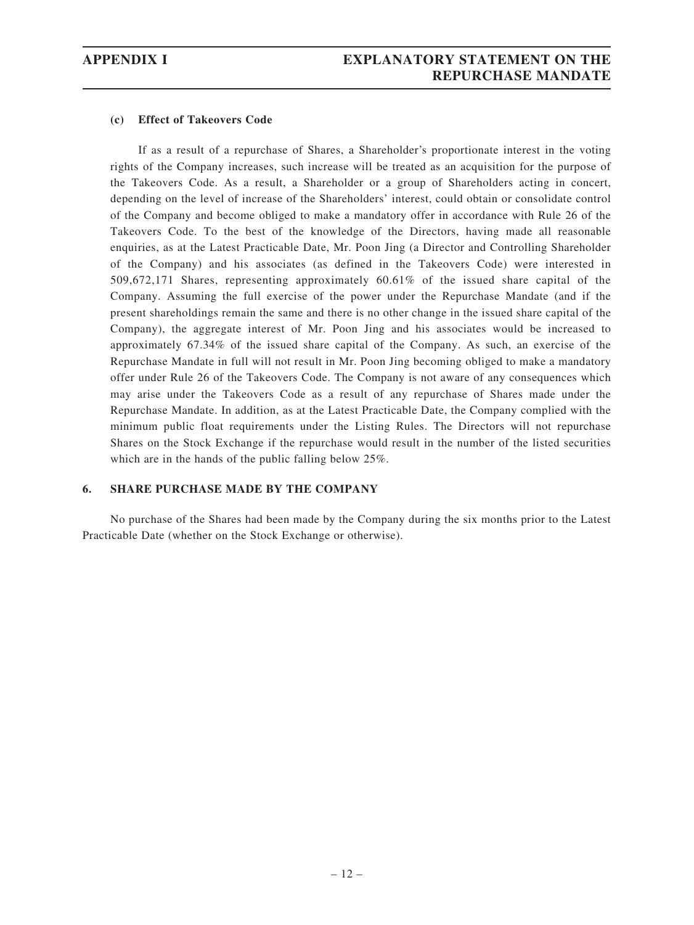### (c) Effect of Takeovers Code

If as a result of a repurchase of Shares, a Shareholder's proportionate interest in the voting rights of the Company increases, such increase will be treated as an acquisition for the purpose of the Takeovers Code. As a result, a Shareholder or a group of Shareholders acting in concert, depending on the level of increase of the Shareholders' interest, could obtain or consolidate control of the Company and become obliged to make a mandatory offer in accordance with Rule 26 of the Takeovers Code. To the best of the knowledge of the Directors, having made all reasonable enquiries, as at the Latest Practicable Date, Mr. Poon Jing (a Director and Controlling Shareholder of the Company) and his associates (as defined in the Takeovers Code) were interested in 509,672,171 Shares, representing approximately 60.61% of the issued share capital of the Company. Assuming the full exercise of the power under the Repurchase Mandate (and if the present shareholdings remain the same and there is no other change in the issued share capital of the Company), the aggregate interest of Mr. Poon Jing and his associates would be increased to approximately 67.34% of the issued share capital of the Company. As such, an exercise of the Repurchase Mandate in full will not result in Mr. Poon Jing becoming obliged to make a mandatory offer under Rule 26 of the Takeovers Code. The Company is not aware of any consequences which may arise under the Takeovers Code as a result of any repurchase of Shares made under the Repurchase Mandate. In addition, as at the Latest Practicable Date, the Company complied with the minimum public float requirements under the Listing Rules. The Directors will not repurchase Shares on the Stock Exchange if the repurchase would result in the number of the listed securities which are in the hands of the public falling below 25%.

### 6. SHARE PURCHASE MADE BY THE COMPANY

No purchase of the Shares had been made by the Company during the six months prior to the Latest Practicable Date (whether on the Stock Exchange or otherwise).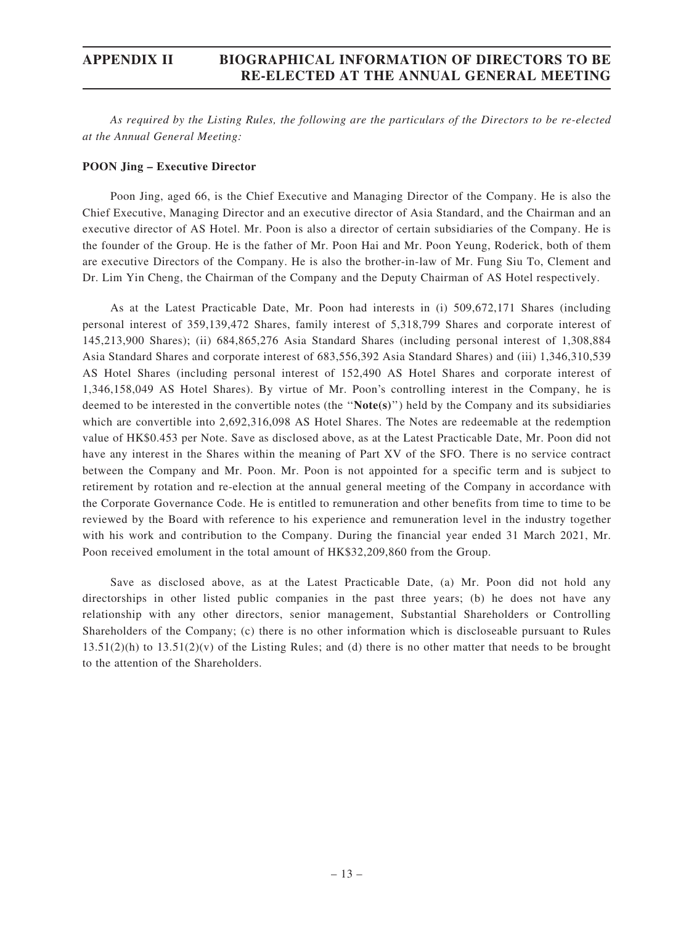# APPENDIX II BIOGRAPHICAL INFORMATION OF DIRECTORS TO BE RE-ELECTED AT THE ANNUAL GENERAL MEETING

As required by the Listing Rules, the following are the particulars of the Directors to be re-elected at the Annual General Meeting:

#### POON Jing – Executive Director

Poon Jing, aged 66, is the Chief Executive and Managing Director of the Company. He is also the Chief Executive, Managing Director and an executive director of Asia Standard, and the Chairman and an executive director of AS Hotel. Mr. Poon is also a director of certain subsidiaries of the Company. He is the founder of the Group. He is the father of Mr. Poon Hai and Mr. Poon Yeung, Roderick, both of them are executive Directors of the Company. He is also the brother-in-law of Mr. Fung Siu To, Clement and Dr. Lim Yin Cheng, the Chairman of the Company and the Deputy Chairman of AS Hotel respectively.

As at the Latest Practicable Date, Mr. Poon had interests in (i) 509,672,171 Shares (including personal interest of 359,139,472 Shares, family interest of 5,318,799 Shares and corporate interest of 145,213,900 Shares); (ii) 684,865,276 Asia Standard Shares (including personal interest of 1,308,884 Asia Standard Shares and corporate interest of 683,556,392 Asia Standard Shares) and (iii) 1,346,310,539 AS Hotel Shares (including personal interest of 152,490 AS Hotel Shares and corporate interest of 1,346,158,049 AS Hotel Shares). By virtue of Mr. Poon's controlling interest in the Company, he is deemed to be interested in the convertible notes (the ''Note(s)'') held by the Company and its subsidiaries which are convertible into 2,692,316,098 AS Hotel Shares. The Notes are redeemable at the redemption value of HK\$0.453 per Note. Save as disclosed above, as at the Latest Practicable Date, Mr. Poon did not have any interest in the Shares within the meaning of Part XV of the SFO. There is no service contract between the Company and Mr. Poon. Mr. Poon is not appointed for a specific term and is subject to retirement by rotation and re-election at the annual general meeting of the Company in accordance with the Corporate Governance Code. He is entitled to remuneration and other benefits from time to time to be reviewed by the Board with reference to his experience and remuneration level in the industry together with his work and contribution to the Company. During the financial year ended 31 March 2021, Mr. Poon received emolument in the total amount of HK\$32,209,860 from the Group.

Save as disclosed above, as at the Latest Practicable Date, (a) Mr. Poon did not hold any directorships in other listed public companies in the past three years; (b) he does not have any relationship with any other directors, senior management, Substantial Shareholders or Controlling Shareholders of the Company; (c) there is no other information which is discloseable pursuant to Rules  $13.51(2)(h)$  to  $13.51(2)(v)$  of the Listing Rules; and (d) there is no other matter that needs to be brought to the attention of the Shareholders.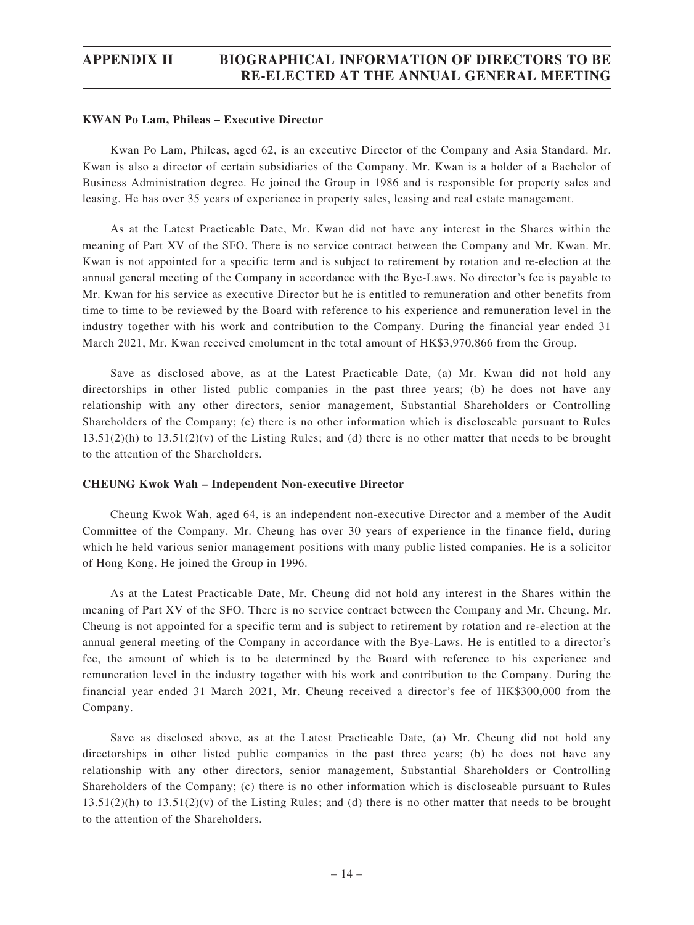# APPENDIX II BIOGRAPHICAL INFORMATION OF DIRECTORS TO BE RE-ELECTED AT THE ANNUAL GENERAL MEETING

#### KWAN Po Lam, Phileas – Executive Director

Kwan Po Lam, Phileas, aged 62, is an executive Director of the Company and Asia Standard. Mr. Kwan is also a director of certain subsidiaries of the Company. Mr. Kwan is a holder of a Bachelor of Business Administration degree. He joined the Group in 1986 and is responsible for property sales and leasing. He has over 35 years of experience in property sales, leasing and real estate management.

As at the Latest Practicable Date, Mr. Kwan did not have any interest in the Shares within the meaning of Part XV of the SFO. There is no service contract between the Company and Mr. Kwan. Mr. Kwan is not appointed for a specific term and is subject to retirement by rotation and re-election at the annual general meeting of the Company in accordance with the Bye-Laws. No director's fee is payable to Mr. Kwan for his service as executive Director but he is entitled to remuneration and other benefits from time to time to be reviewed by the Board with reference to his experience and remuneration level in the industry together with his work and contribution to the Company. During the financial year ended 31 March 2021, Mr. Kwan received emolument in the total amount of HK\$3,970,866 from the Group.

Save as disclosed above, as at the Latest Practicable Date, (a) Mr. Kwan did not hold any directorships in other listed public companies in the past three years; (b) he does not have any relationship with any other directors, senior management, Substantial Shareholders or Controlling Shareholders of the Company; (c) there is no other information which is discloseable pursuant to Rules  $13.51(2)(h)$  to  $13.51(2)(v)$  of the Listing Rules; and (d) there is no other matter that needs to be brought to the attention of the Shareholders.

### CHEUNG Kwok Wah – Independent Non-executive Director

Cheung Kwok Wah, aged 64, is an independent non-executive Director and a member of the Audit Committee of the Company. Mr. Cheung has over 30 years of experience in the finance field, during which he held various senior management positions with many public listed companies. He is a solicitor of Hong Kong. He joined the Group in 1996.

As at the Latest Practicable Date, Mr. Cheung did not hold any interest in the Shares within the meaning of Part XV of the SFO. There is no service contract between the Company and Mr. Cheung. Mr. Cheung is not appointed for a specific term and is subject to retirement by rotation and re-election at the annual general meeting of the Company in accordance with the Bye-Laws. He is entitled to a director's fee, the amount of which is to be determined by the Board with reference to his experience and remuneration level in the industry together with his work and contribution to the Company. During the financial year ended 31 March 2021, Mr. Cheung received a director's fee of HK\$300,000 from the Company.

Save as disclosed above, as at the Latest Practicable Date, (a) Mr. Cheung did not hold any directorships in other listed public companies in the past three years; (b) he does not have any relationship with any other directors, senior management, Substantial Shareholders or Controlling Shareholders of the Company; (c) there is no other information which is discloseable pursuant to Rules  $13.51(2)(h)$  to  $13.51(2)(v)$  of the Listing Rules; and (d) there is no other matter that needs to be brought to the attention of the Shareholders.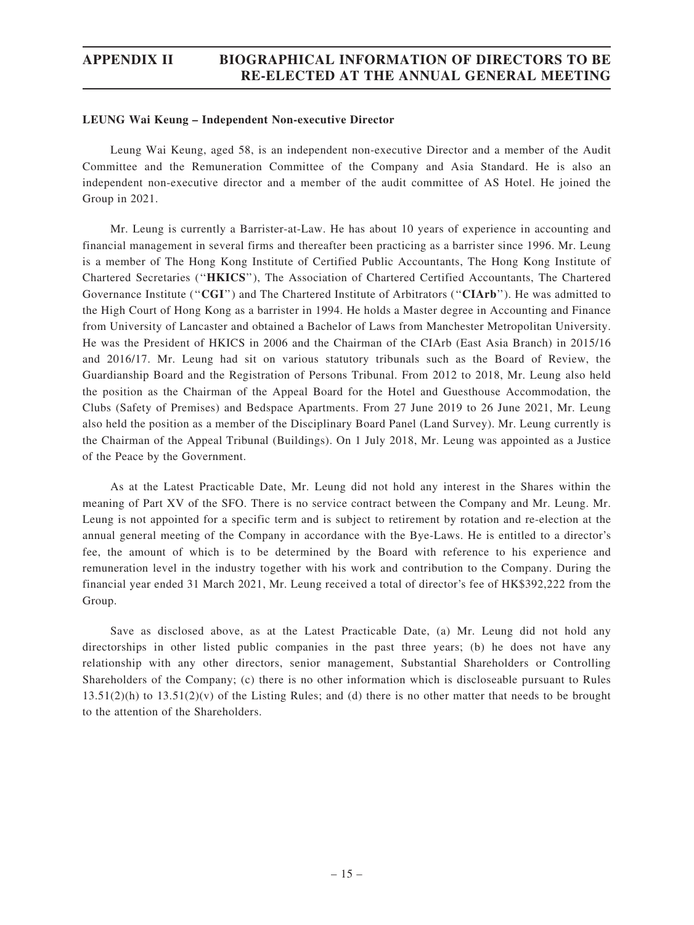# APPENDIX II BIOGRAPHICAL INFORMATION OF DIRECTORS TO BE RE-ELECTED AT THE ANNUAL GENERAL MEETING

#### LEUNG Wai Keung – Independent Non-executive Director

Leung Wai Keung, aged 58, is an independent non-executive Director and a member of the Audit Committee and the Remuneration Committee of the Company and Asia Standard. He is also an independent non-executive director and a member of the audit committee of AS Hotel. He joined the Group in 2021.

Mr. Leung is currently a Barrister-at-Law. He has about 10 years of experience in accounting and financial management in several firms and thereafter been practicing as a barrister since 1996. Mr. Leung is a member of The Hong Kong Institute of Certified Public Accountants, The Hong Kong Institute of Chartered Secretaries (''HKICS''), The Association of Chartered Certified Accountants, The Chartered Governance Institute ("CGI") and The Chartered Institute of Arbitrators ("CIArb"). He was admitted to the High Court of Hong Kong as a barrister in 1994. He holds a Master degree in Accounting and Finance from University of Lancaster and obtained a Bachelor of Laws from Manchester Metropolitan University. He was the President of HKICS in 2006 and the Chairman of the CIArb (East Asia Branch) in 2015/16 and 2016/17. Mr. Leung had sit on various statutory tribunals such as the Board of Review, the Guardianship Board and the Registration of Persons Tribunal. From 2012 to 2018, Mr. Leung also held the position as the Chairman of the Appeal Board for the Hotel and Guesthouse Accommodation, the Clubs (Safety of Premises) and Bedspace Apartments. From 27 June 2019 to 26 June 2021, Mr. Leung also held the position as a member of the Disciplinary Board Panel (Land Survey). Mr. Leung currently is the Chairman of the Appeal Tribunal (Buildings). On 1 July 2018, Mr. Leung was appointed as a Justice of the Peace by the Government.

As at the Latest Practicable Date, Mr. Leung did not hold any interest in the Shares within the meaning of Part XV of the SFO. There is no service contract between the Company and Mr. Leung. Mr. Leung is not appointed for a specific term and is subject to retirement by rotation and re-election at the annual general meeting of the Company in accordance with the Bye-Laws. He is entitled to a director's fee, the amount of which is to be determined by the Board with reference to his experience and remuneration level in the industry together with his work and contribution to the Company. During the financial year ended 31 March 2021, Mr. Leung received a total of director's fee of HK\$392,222 from the Group.

Save as disclosed above, as at the Latest Practicable Date, (a) Mr. Leung did not hold any directorships in other listed public companies in the past three years; (b) he does not have any relationship with any other directors, senior management, Substantial Shareholders or Controlling Shareholders of the Company; (c) there is no other information which is discloseable pursuant to Rules  $13.51(2)(h)$  to  $13.51(2)(v)$  of the Listing Rules; and (d) there is no other matter that needs to be brought to the attention of the Shareholders.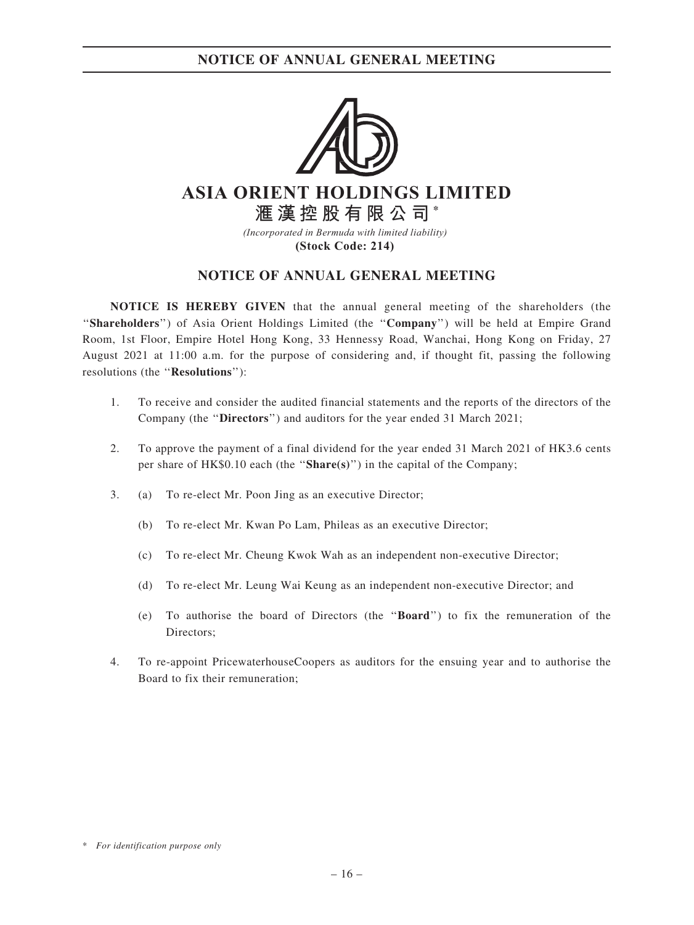

# **ASIA ORIENT HOLDINGS LIMITED 滙漢控股有限公司 \***

*(Incorporated in Bermuda with limited liability)*  **(Stock Code: 214)** 

### NOTICE OF ANNUAL GENERAL MEETING

NOTICE IS HEREBY GIVEN that the annual general meeting of the shareholders (the ''Shareholders'') of Asia Orient Holdings Limited (the ''Company'') will be held at Empire Grand Room, 1st Floor, Empire Hotel Hong Kong, 33 Hennessy Road, Wanchai, Hong Kong on Friday, 27 August 2021 at 11:00 a.m. for the purpose of considering and, if thought fit, passing the following resolutions (the ''Resolutions''):

- 1. To receive and consider the audited financial statements and the reports of the directors of the Company (the ''Directors'') and auditors for the year ended 31 March 2021;
- 2. To approve the payment of a final dividend for the year ended 31 March 2021 of HK3.6 cents per share of  $HK$0.10$  each (the "Share(s)") in the capital of the Company;
- 3. (a) To re-elect Mr. Poon Jing as an executive Director;
	- (b) To re-elect Mr. Kwan Po Lam, Phileas as an executive Director;
	- (c) To re-elect Mr. Cheung Kwok Wah as an independent non-executive Director;
	- (d) To re-elect Mr. Leung Wai Keung as an independent non-executive Director; and
	- (e) To authorise the board of Directors (the ''Board'') to fix the remuneration of the Directors;
- 4. To re-appoint PricewaterhouseCoopers as auditors for the ensuing year and to authorise the Board to fix their remuneration;

<sup>\*</sup> For identification purpose only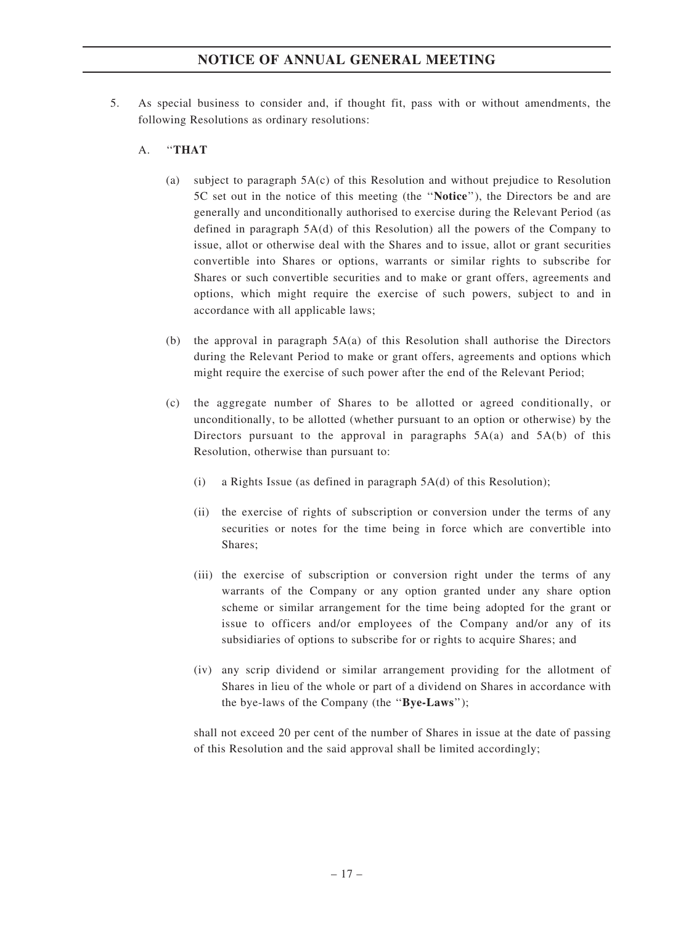5. As special business to consider and, if thought fit, pass with or without amendments, the following Resolutions as ordinary resolutions:

### A. ''THAT

- (a) subject to paragraph 5A(c) of this Resolution and without prejudice to Resolution 5C set out in the notice of this meeting (the ''Notice''), the Directors be and are generally and unconditionally authorised to exercise during the Relevant Period (as defined in paragraph 5A(d) of this Resolution) all the powers of the Company to issue, allot or otherwise deal with the Shares and to issue, allot or grant securities convertible into Shares or options, warrants or similar rights to subscribe for Shares or such convertible securities and to make or grant offers, agreements and options, which might require the exercise of such powers, subject to and in accordance with all applicable laws;
- (b) the approval in paragraph 5A(a) of this Resolution shall authorise the Directors during the Relevant Period to make or grant offers, agreements and options which might require the exercise of such power after the end of the Relevant Period;
- (c) the aggregate number of Shares to be allotted or agreed conditionally, or unconditionally, to be allotted (whether pursuant to an option or otherwise) by the Directors pursuant to the approval in paragraphs  $5A(a)$  and  $5A(b)$  of this Resolution, otherwise than pursuant to:
	- (i) a Rights Issue (as defined in paragraph 5A(d) of this Resolution);
	- (ii) the exercise of rights of subscription or conversion under the terms of any securities or notes for the time being in force which are convertible into Shares;
	- (iii) the exercise of subscription or conversion right under the terms of any warrants of the Company or any option granted under any share option scheme or similar arrangement for the time being adopted for the grant or issue to officers and/or employees of the Company and/or any of its subsidiaries of options to subscribe for or rights to acquire Shares; and
	- (iv) any scrip dividend or similar arrangement providing for the allotment of Shares in lieu of the whole or part of a dividend on Shares in accordance with the bye-laws of the Company (the "Bye-Laws");

shall not exceed 20 per cent of the number of Shares in issue at the date of passing of this Resolution and the said approval shall be limited accordingly;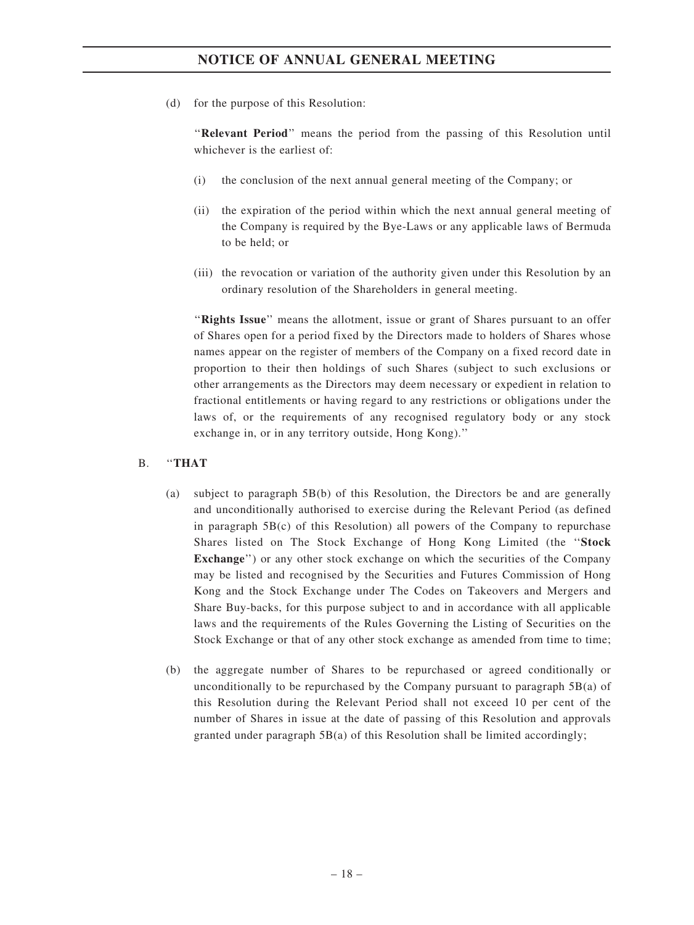(d) for the purpose of this Resolution:

''Relevant Period'' means the period from the passing of this Resolution until whichever is the earliest of:

- (i) the conclusion of the next annual general meeting of the Company; or
- (ii) the expiration of the period within which the next annual general meeting of the Company is required by the Bye-Laws or any applicable laws of Bermuda to be held; or
- (iii) the revocation or variation of the authority given under this Resolution by an ordinary resolution of the Shareholders in general meeting.

"Rights Issue" means the allotment, issue or grant of Shares pursuant to an offer of Shares open for a period fixed by the Directors made to holders of Shares whose names appear on the register of members of the Company on a fixed record date in proportion to their then holdings of such Shares (subject to such exclusions or other arrangements as the Directors may deem necessary or expedient in relation to fractional entitlements or having regard to any restrictions or obligations under the laws of, or the requirements of any recognised regulatory body or any stock exchange in, or in any territory outside, Hong Kong).''

### B. ''THAT

- (a) subject to paragraph 5B(b) of this Resolution, the Directors be and are generally and unconditionally authorised to exercise during the Relevant Period (as defined in paragraph  $5B(c)$  of this Resolution) all powers of the Company to repurchase Shares listed on The Stock Exchange of Hong Kong Limited (the ''Stock Exchange") or any other stock exchange on which the securities of the Company may be listed and recognised by the Securities and Futures Commission of Hong Kong and the Stock Exchange under The Codes on Takeovers and Mergers and Share Buy-backs, for this purpose subject to and in accordance with all applicable laws and the requirements of the Rules Governing the Listing of Securities on the Stock Exchange or that of any other stock exchange as amended from time to time;
- (b) the aggregate number of Shares to be repurchased or agreed conditionally or unconditionally to be repurchased by the Company pursuant to paragraph  $5B(a)$  of this Resolution during the Relevant Period shall not exceed 10 per cent of the number of Shares in issue at the date of passing of this Resolution and approvals granted under paragraph 5B(a) of this Resolution shall be limited accordingly;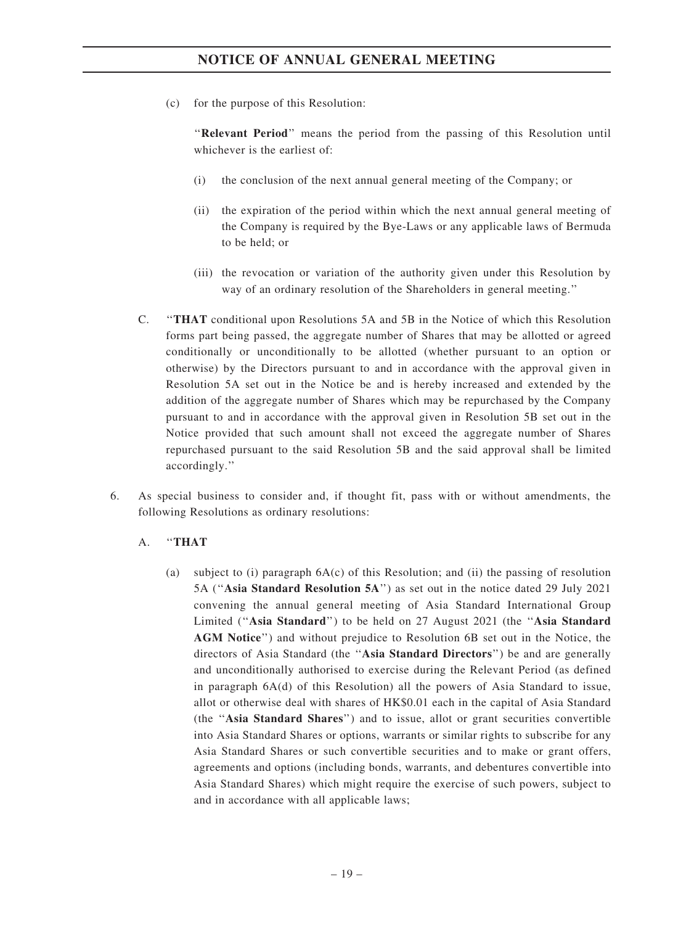(c) for the purpose of this Resolution:

''Relevant Period'' means the period from the passing of this Resolution until whichever is the earliest of:

- (i) the conclusion of the next annual general meeting of the Company; or
- (ii) the expiration of the period within which the next annual general meeting of the Company is required by the Bye-Laws or any applicable laws of Bermuda to be held; or
- (iii) the revocation or variation of the authority given under this Resolution by way of an ordinary resolution of the Shareholders in general meeting.''
- C. ''THAT conditional upon Resolutions 5A and 5B in the Notice of which this Resolution forms part being passed, the aggregate number of Shares that may be allotted or agreed conditionally or unconditionally to be allotted (whether pursuant to an option or otherwise) by the Directors pursuant to and in accordance with the approval given in Resolution 5A set out in the Notice be and is hereby increased and extended by the addition of the aggregate number of Shares which may be repurchased by the Company pursuant to and in accordance with the approval given in Resolution 5B set out in the Notice provided that such amount shall not exceed the aggregate number of Shares repurchased pursuant to the said Resolution 5B and the said approval shall be limited accordingly.''
- 6. As special business to consider and, if thought fit, pass with or without amendments, the following Resolutions as ordinary resolutions:

### A. ''THAT

(a) subject to (i) paragraph 6A(c) of this Resolution; and (ii) the passing of resolution 5A (''Asia Standard Resolution 5A'') as set out in the notice dated 29 July 2021 convening the annual general meeting of Asia Standard International Group Limited ("Asia Standard") to be held on 27 August 2021 (the "Asia Standard AGM Notice'') and without prejudice to Resolution 6B set out in the Notice, the directors of Asia Standard (the ''Asia Standard Directors'') be and are generally and unconditionally authorised to exercise during the Relevant Period (as defined in paragraph 6A(d) of this Resolution) all the powers of Asia Standard to issue, allot or otherwise deal with shares of HK\$0.01 each in the capital of Asia Standard (the ''Asia Standard Shares'') and to issue, allot or grant securities convertible into Asia Standard Shares or options, warrants or similar rights to subscribe for any Asia Standard Shares or such convertible securities and to make or grant offers, agreements and options (including bonds, warrants, and debentures convertible into Asia Standard Shares) which might require the exercise of such powers, subject to and in accordance with all applicable laws;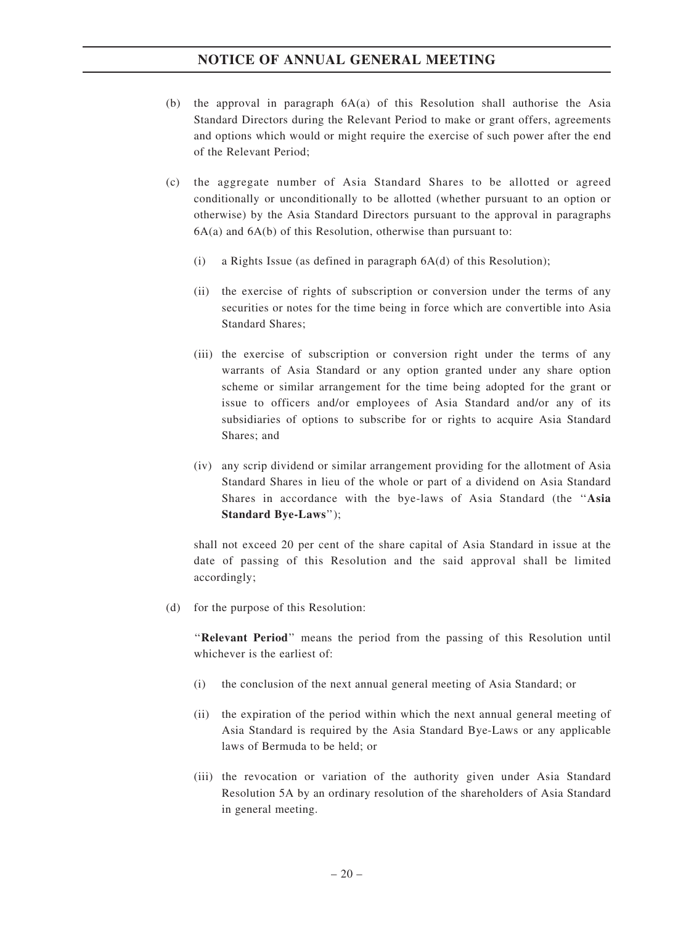- (b) the approval in paragraph  $6A(a)$  of this Resolution shall authorise the Asia Standard Directors during the Relevant Period to make or grant offers, agreements and options which would or might require the exercise of such power after the end of the Relevant Period;
- (c) the aggregate number of Asia Standard Shares to be allotted or agreed conditionally or unconditionally to be allotted (whether pursuant to an option or otherwise) by the Asia Standard Directors pursuant to the approval in paragraphs  $6A(a)$  and  $6A(b)$  of this Resolution, otherwise than pursuant to:
	- (i) a Rights Issue (as defined in paragraph 6A(d) of this Resolution);
	- (ii) the exercise of rights of subscription or conversion under the terms of any securities or notes for the time being in force which are convertible into Asia Standard Shares;
	- (iii) the exercise of subscription or conversion right under the terms of any warrants of Asia Standard or any option granted under any share option scheme or similar arrangement for the time being adopted for the grant or issue to officers and/or employees of Asia Standard and/or any of its subsidiaries of options to subscribe for or rights to acquire Asia Standard Shares; and
	- (iv) any scrip dividend or similar arrangement providing for the allotment of Asia Standard Shares in lieu of the whole or part of a dividend on Asia Standard Shares in accordance with the bye-laws of Asia Standard (the ''Asia Standard Bye-Laws'');

shall not exceed 20 per cent of the share capital of Asia Standard in issue at the date of passing of this Resolution and the said approval shall be limited accordingly;

(d) for the purpose of this Resolution:

''Relevant Period'' means the period from the passing of this Resolution until whichever is the earliest of:

- (i) the conclusion of the next annual general meeting of Asia Standard; or
- (ii) the expiration of the period within which the next annual general meeting of Asia Standard is required by the Asia Standard Bye-Laws or any applicable laws of Bermuda to be held; or
- (iii) the revocation or variation of the authority given under Asia Standard Resolution 5A by an ordinary resolution of the shareholders of Asia Standard in general meeting.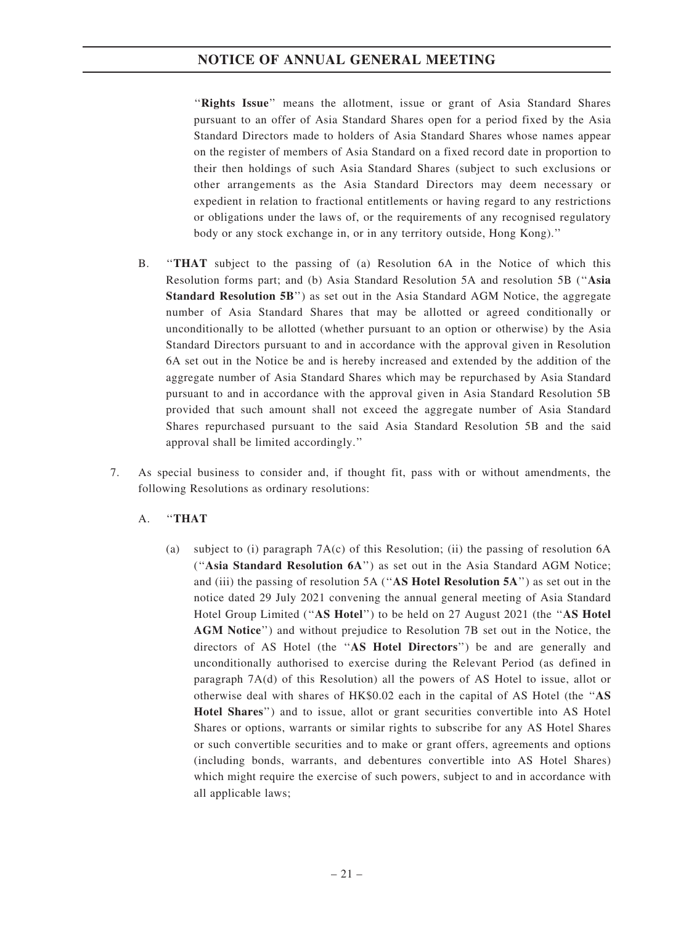"Rights Issue" means the allotment, issue or grant of Asia Standard Shares pursuant to an offer of Asia Standard Shares open for a period fixed by the Asia Standard Directors made to holders of Asia Standard Shares whose names appear on the register of members of Asia Standard on a fixed record date in proportion to their then holdings of such Asia Standard Shares (subject to such exclusions or other arrangements as the Asia Standard Directors may deem necessary or expedient in relation to fractional entitlements or having regard to any restrictions or obligations under the laws of, or the requirements of any recognised regulatory body or any stock exchange in, or in any territory outside, Hong Kong).''

- B. ''THAT subject to the passing of (a) Resolution 6A in the Notice of which this Resolution forms part; and (b) Asia Standard Resolution 5A and resolution 5B (''Asia Standard Resolution 5B'') as set out in the Asia Standard AGM Notice, the aggregate number of Asia Standard Shares that may be allotted or agreed conditionally or unconditionally to be allotted (whether pursuant to an option or otherwise) by the Asia Standard Directors pursuant to and in accordance with the approval given in Resolution 6A set out in the Notice be and is hereby increased and extended by the addition of the aggregate number of Asia Standard Shares which may be repurchased by Asia Standard pursuant to and in accordance with the approval given in Asia Standard Resolution 5B provided that such amount shall not exceed the aggregate number of Asia Standard Shares repurchased pursuant to the said Asia Standard Resolution 5B and the said approval shall be limited accordingly.''
- 7. As special business to consider and, if thought fit, pass with or without amendments, the following Resolutions as ordinary resolutions:
	- A. ''THAT
		- (a) subject to (i) paragraph  $7A(c)$  of this Resolution; (ii) the passing of resolution 6A (''Asia Standard Resolution 6A'') as set out in the Asia Standard AGM Notice; and (iii) the passing of resolution  $5A$  ("AS Hotel Resolution  $5A$ ") as set out in the notice dated 29 July 2021 convening the annual general meeting of Asia Standard Hotel Group Limited ("AS Hotel") to be held on 27 August 2021 (the "AS Hotel AGM Notice'') and without prejudice to Resolution 7B set out in the Notice, the directors of AS Hotel (the "AS Hotel Directors") be and are generally and unconditionally authorised to exercise during the Relevant Period (as defined in paragraph 7A(d) of this Resolution) all the powers of AS Hotel to issue, allot or otherwise deal with shares of HK\$0.02 each in the capital of AS Hotel (the ''AS Hotel Shares'') and to issue, allot or grant securities convertible into AS Hotel Shares or options, warrants or similar rights to subscribe for any AS Hotel Shares or such convertible securities and to make or grant offers, agreements and options (including bonds, warrants, and debentures convertible into AS Hotel Shares) which might require the exercise of such powers, subject to and in accordance with all applicable laws;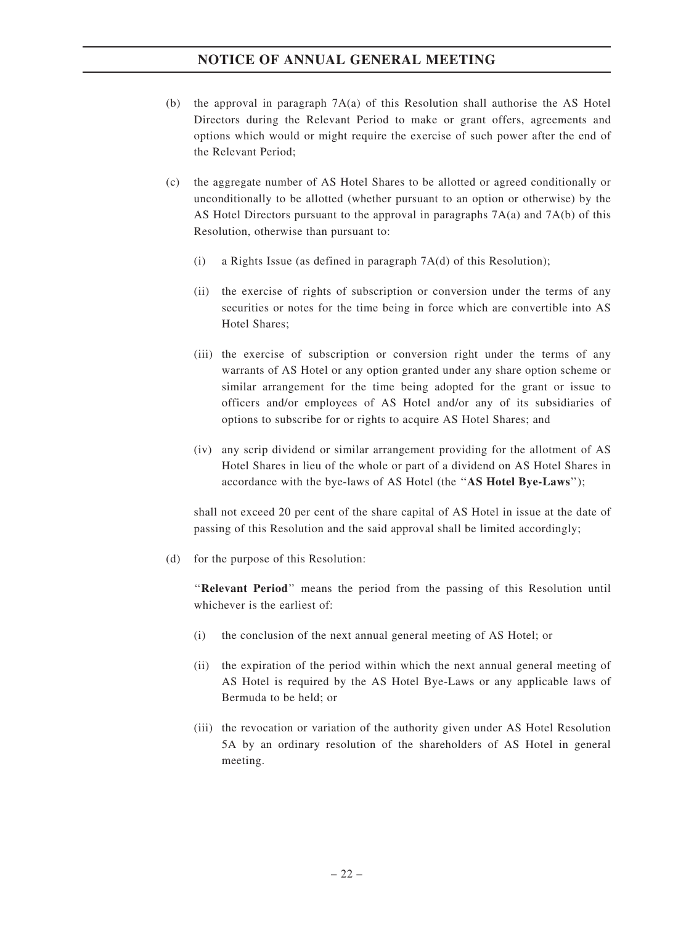- (b) the approval in paragraph 7A(a) of this Resolution shall authorise the AS Hotel Directors during the Relevant Period to make or grant offers, agreements and options which would or might require the exercise of such power after the end of the Relevant Period;
- (c) the aggregate number of AS Hotel Shares to be allotted or agreed conditionally or unconditionally to be allotted (whether pursuant to an option or otherwise) by the AS Hotel Directors pursuant to the approval in paragraphs 7A(a) and 7A(b) of this Resolution, otherwise than pursuant to:
	- (i) a Rights Issue (as defined in paragraph 7A(d) of this Resolution);
	- (ii) the exercise of rights of subscription or conversion under the terms of any securities or notes for the time being in force which are convertible into AS Hotel Shares;
	- (iii) the exercise of subscription or conversion right under the terms of any warrants of AS Hotel or any option granted under any share option scheme or similar arrangement for the time being adopted for the grant or issue to officers and/or employees of AS Hotel and/or any of its subsidiaries of options to subscribe for or rights to acquire AS Hotel Shares; and
	- (iv) any scrip dividend or similar arrangement providing for the allotment of AS Hotel Shares in lieu of the whole or part of a dividend on AS Hotel Shares in accordance with the bye-laws of AS Hotel (the "AS Hotel Bye-Laws");

shall not exceed 20 per cent of the share capital of AS Hotel in issue at the date of passing of this Resolution and the said approval shall be limited accordingly;

(d) for the purpose of this Resolution:

''Relevant Period'' means the period from the passing of this Resolution until whichever is the earliest of:

- (i) the conclusion of the next annual general meeting of AS Hotel; or
- (ii) the expiration of the period within which the next annual general meeting of AS Hotel is required by the AS Hotel Bye-Laws or any applicable laws of Bermuda to be held; or
- (iii) the revocation or variation of the authority given under AS Hotel Resolution 5A by an ordinary resolution of the shareholders of AS Hotel in general meeting.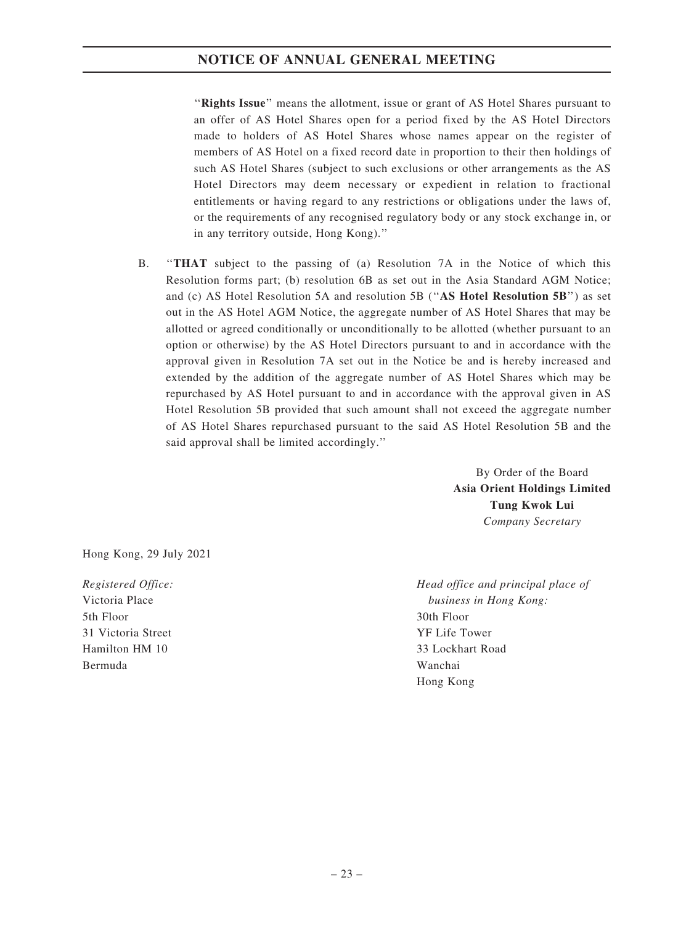''Rights Issue'' means the allotment, issue or grant of AS Hotel Shares pursuant to an offer of AS Hotel Shares open for a period fixed by the AS Hotel Directors made to holders of AS Hotel Shares whose names appear on the register of members of AS Hotel on a fixed record date in proportion to their then holdings of such AS Hotel Shares (subject to such exclusions or other arrangements as the AS Hotel Directors may deem necessary or expedient in relation to fractional entitlements or having regard to any restrictions or obligations under the laws of, or the requirements of any recognised regulatory body or any stock exchange in, or in any territory outside, Hong Kong).''

B. ''THAT subject to the passing of (a) Resolution 7A in the Notice of which this Resolution forms part; (b) resolution 6B as set out in the Asia Standard AGM Notice; and (c) AS Hotel Resolution 5A and resolution 5B (''AS Hotel Resolution 5B'') as set out in the AS Hotel AGM Notice, the aggregate number of AS Hotel Shares that may be allotted or agreed conditionally or unconditionally to be allotted (whether pursuant to an option or otherwise) by the AS Hotel Directors pursuant to and in accordance with the approval given in Resolution 7A set out in the Notice be and is hereby increased and extended by the addition of the aggregate number of AS Hotel Shares which may be repurchased by AS Hotel pursuant to and in accordance with the approval given in AS Hotel Resolution 5B provided that such amount shall not exceed the aggregate number of AS Hotel Shares repurchased pursuant to the said AS Hotel Resolution 5B and the said approval shall be limited accordingly.''

> By Order of the Board Asia Orient Holdings Limited Tung Kwok Lui Company Secretary

Hong Kong, 29 July 2021

Registered Office: Victoria Place 5th Floor 31 Victoria Street Hamilton HM 10 Bermuda

Head office and principal place of business in Hong Kong: 30th Floor YF Life Tower 33 Lockhart Road Wanchai Hong Kong